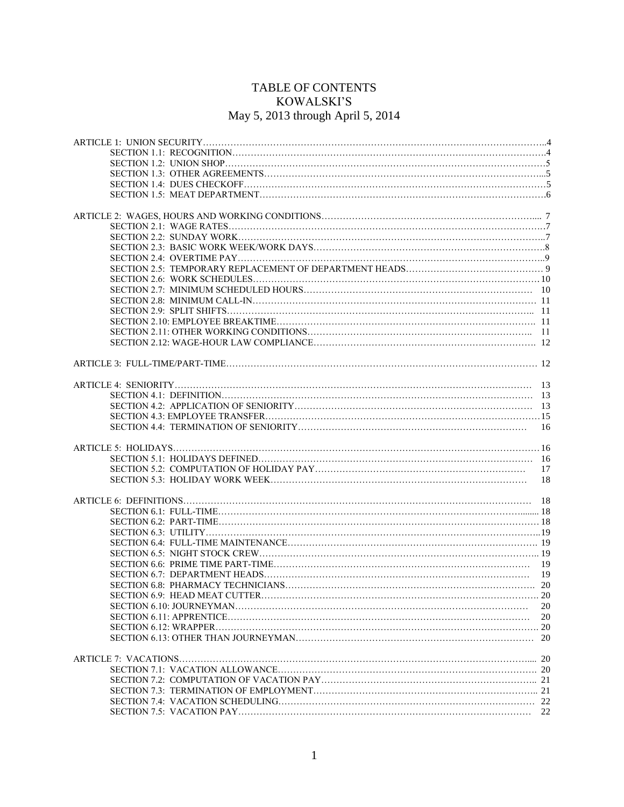## TABLE OF CONTENTS KOWALSKI'S May 5, 2013 through April 5, 2014

| 16 |
|----|
|    |
|    |
| 17 |
| 18 |
|    |
|    |
|    |
|    |
|    |
|    |
|    |
|    |
|    |
|    |
|    |
| 20 |
| 20 |
|    |
|    |
|    |
|    |
|    |
|    |
|    |
|    |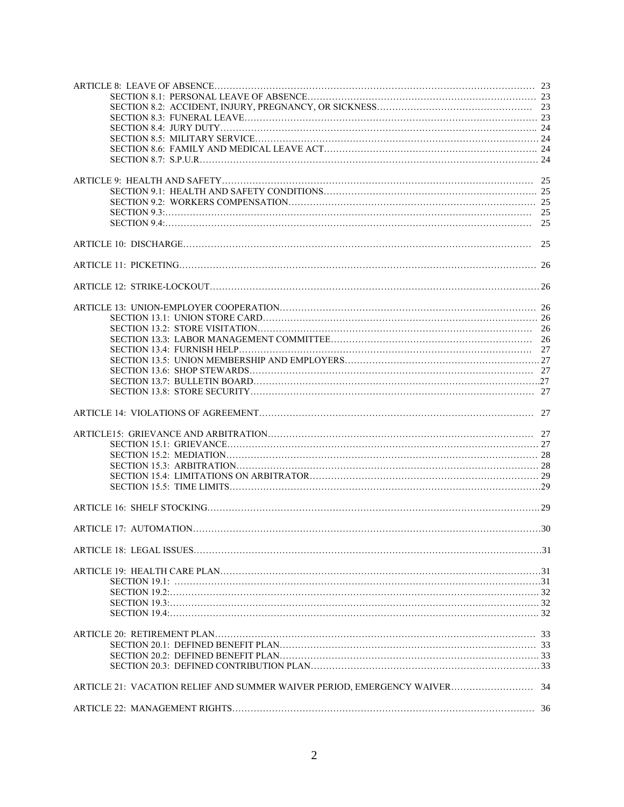| SECTION 20.3: DEFINED CONTRIBUTION PLAN                                   |  |
|---------------------------------------------------------------------------|--|
|                                                                           |  |
| ARTICLE 21: VACATION RELIEF AND SUMMER WAIVER PERIOD, EMERGENCY WAIVER 34 |  |
|                                                                           |  |
|                                                                           |  |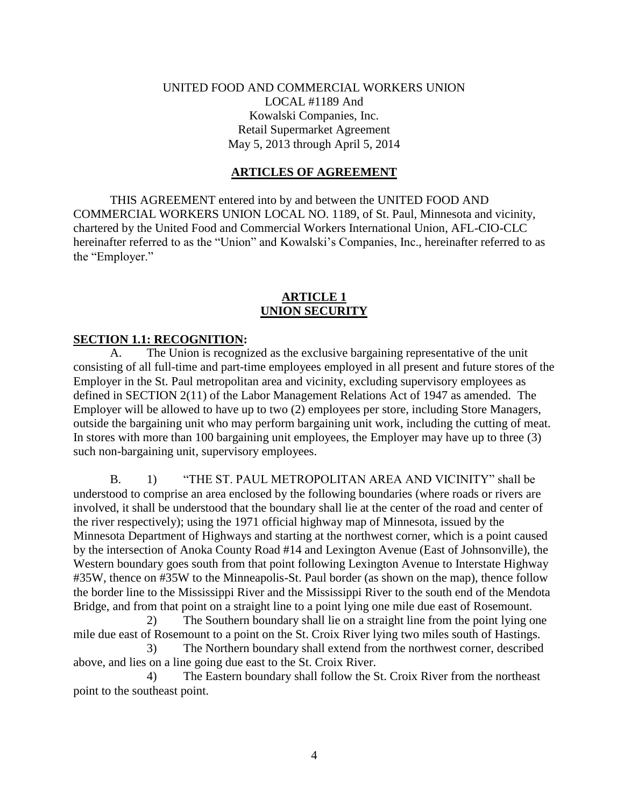#### UNITED FOOD AND COMMERCIAL WORKERS UNION LOCAL #1189 And Kowalski Companies, Inc. Retail Supermarket Agreement May 5, 2013 through April 5, 2014

#### **ARTICLES OF AGREEMENT**

THIS AGREEMENT entered into by and between the UNITED FOOD AND COMMERCIAL WORKERS UNION LOCAL NO. 1189, of St. Paul, Minnesota and vicinity, chartered by the United Food and Commercial Workers International Union, AFL-CIO-CLC hereinafter referred to as the "Union" and Kowalski's Companies, Inc., hereinafter referred to as the "Employer."

#### **ARTICLE 1 UNION SECURITY**

#### **SECTION 1.1: RECOGNITION:**

A. The Union is recognized as the exclusive bargaining representative of the unit consisting of all full-time and part-time employees employed in all present and future stores of the Employer in the St. Paul metropolitan area and vicinity, excluding supervisory employees as defined in SECTION 2(11) of the Labor Management Relations Act of 1947 as amended. The Employer will be allowed to have up to two (2) employees per store, including Store Managers, outside the bargaining unit who may perform bargaining unit work, including the cutting of meat. In stores with more than 100 bargaining unit employees, the Employer may have up to three (3) such non-bargaining unit, supervisory employees.

B. 1) "THE ST. PAUL METROPOLITAN AREA AND VICINITY" shall be understood to comprise an area enclosed by the following boundaries (where roads or rivers are involved, it shall be understood that the boundary shall lie at the center of the road and center of the river respectively); using the 1971 official highway map of Minnesota, issued by the Minnesota Department of Highways and starting at the northwest corner, which is a point caused by the intersection of Anoka County Road #14 and Lexington Avenue (East of Johnsonville), the Western boundary goes south from that point following Lexington Avenue to Interstate Highway #35W, thence on #35W to the Minneapolis-St. Paul border (as shown on the map), thence follow the border line to the Mississippi River and the Mississippi River to the south end of the Mendota Bridge, and from that point on a straight line to a point lying one mile due east of Rosemount.

2) The Southern boundary shall lie on a straight line from the point lying one mile due east of Rosemount to a point on the St. Croix River lying two miles south of Hastings.

3) The Northern boundary shall extend from the northwest corner, described above, and lies on a line going due east to the St. Croix River.

4) The Eastern boundary shall follow the St. Croix River from the northeast point to the southeast point.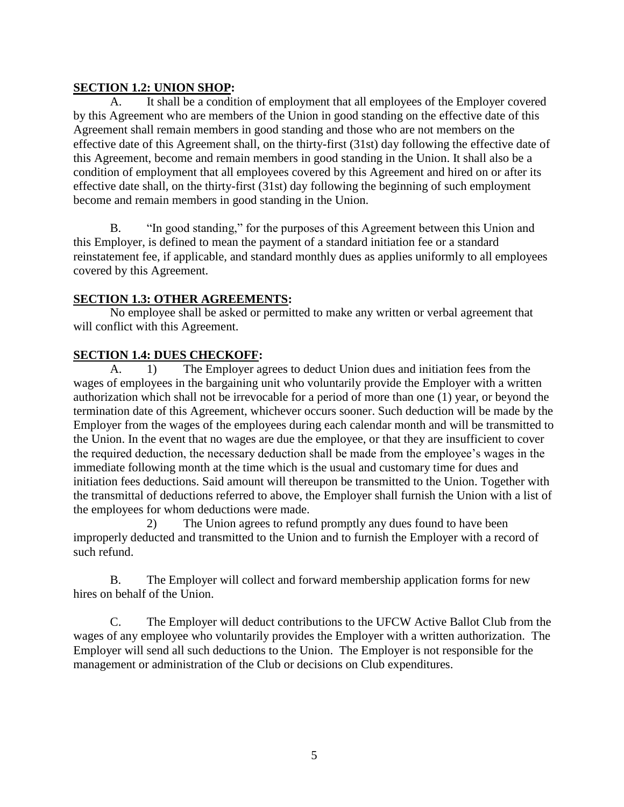## **SECTION 1.2: UNION SHOP:**

A. It shall be a condition of employment that all employees of the Employer covered by this Agreement who are members of the Union in good standing on the effective date of this Agreement shall remain members in good standing and those who are not members on the effective date of this Agreement shall, on the thirty-first (31st) day following the effective date of this Agreement, become and remain members in good standing in the Union. It shall also be a condition of employment that all employees covered by this Agreement and hired on or after its effective date shall, on the thirty-first (31st) day following the beginning of such employment become and remain members in good standing in the Union.

B. "In good standing," for the purposes of this Agreement between this Union and this Employer, is defined to mean the payment of a standard initiation fee or a standard reinstatement fee, if applicable, and standard monthly dues as applies uniformly to all employees covered by this Agreement.

## **SECTION 1.3: OTHER AGREEMENTS:**

No employee shall be asked or permitted to make any written or verbal agreement that will conflict with this Agreement.

## **SECTION 1.4: DUES CHECKOFF:**

A. 1) The Employer agrees to deduct Union dues and initiation fees from the wages of employees in the bargaining unit who voluntarily provide the Employer with a written authorization which shall not be irrevocable for a period of more than one (1) year, or beyond the termination date of this Agreement, whichever occurs sooner. Such deduction will be made by the Employer from the wages of the employees during each calendar month and will be transmitted to the Union. In the event that no wages are due the employee, or that they are insufficient to cover the required deduction, the necessary deduction shall be made from the employee's wages in the immediate following month at the time which is the usual and customary time for dues and initiation fees deductions. Said amount will thereupon be transmitted to the Union. Together with the transmittal of deductions referred to above, the Employer shall furnish the Union with a list of the employees for whom deductions were made.

2) The Union agrees to refund promptly any dues found to have been improperly deducted and transmitted to the Union and to furnish the Employer with a record of such refund.

B. The Employer will collect and forward membership application forms for new hires on behalf of the Union.

C. The Employer will deduct contributions to the UFCW Active Ballot Club from the wages of any employee who voluntarily provides the Employer with a written authorization. The Employer will send all such deductions to the Union. The Employer is not responsible for the management or administration of the Club or decisions on Club expenditures.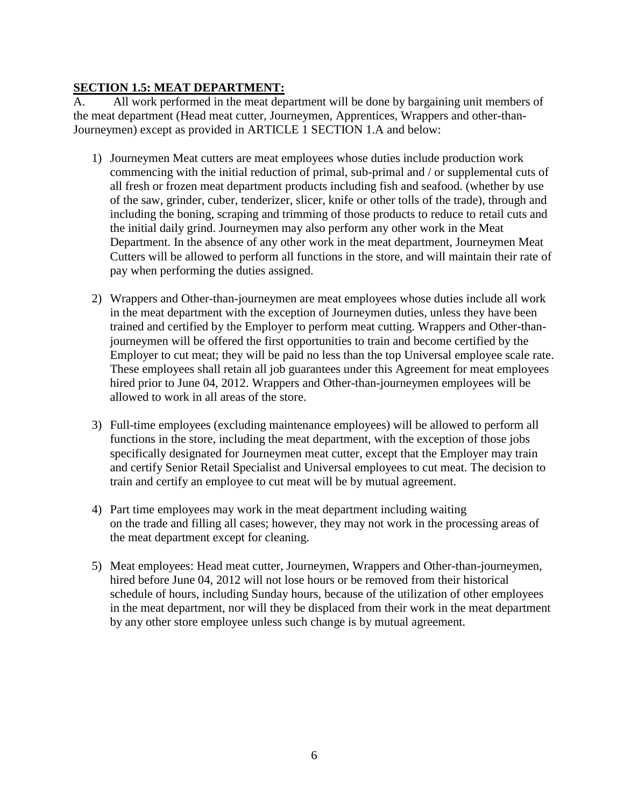## **SECTION 1.5: MEAT DEPARTMENT:**

A. All work performed in the meat department will be done by bargaining unit members of the meat department (Head meat cutter, Journeymen, Apprentices, Wrappers and other-than-Journeymen) except as provided in ARTICLE 1 SECTION 1.A and below:

- 1) Journeymen Meat cutters are meat employees whose duties include production work commencing with the initial reduction of primal, sub-primal and / or supplemental cuts of all fresh or frozen meat department products including fish and seafood. (whether by use of the saw, grinder, cuber, tenderizer, slicer, knife or other tolls of the trade), through and including the boning, scraping and trimming of those products to reduce to retail cuts and the initial daily grind. Journeymen may also perform any other work in the Meat Department. In the absence of any other work in the meat department, Journeymen Meat Cutters will be allowed to perform all functions in the store, and will maintain their rate of pay when performing the duties assigned.
- 2) Wrappers and Other-than-journeymen are meat employees whose duties include all work in the meat department with the exception of Journeymen duties, unless they have been trained and certified by the Employer to perform meat cutting. Wrappers and Other-thanjourneymen will be offered the first opportunities to train and become certified by the Employer to cut meat; they will be paid no less than the top Universal employee scale rate. These employees shall retain all job guarantees under this Agreement for meat employees hired prior to June 04, 2012. Wrappers and Other-than-journeymen employees will be allowed to work in all areas of the store.
- 3) Full-time employees (excluding maintenance employees) will be allowed to perform all functions in the store, including the meat department, with the exception of those jobs specifically designated for Journeymen meat cutter, except that the Employer may train and certify Senior Retail Specialist and Universal employees to cut meat. The decision to train and certify an employee to cut meat will be by mutual agreement.
- 4) Part time employees may work in the meat department including waiting on the trade and filling all cases; however, they may not work in the processing areas of the meat department except for cleaning.
- 5) Meat employees: Head meat cutter, Journeymen, Wrappers and Other-than-journeymen, hired before June 04, 2012 will not lose hours or be removed from their historical schedule of hours, including Sunday hours, because of the utilization of other employees in the meat department, nor will they be displaced from their work in the meat department by any other store employee unless such change is by mutual agreement.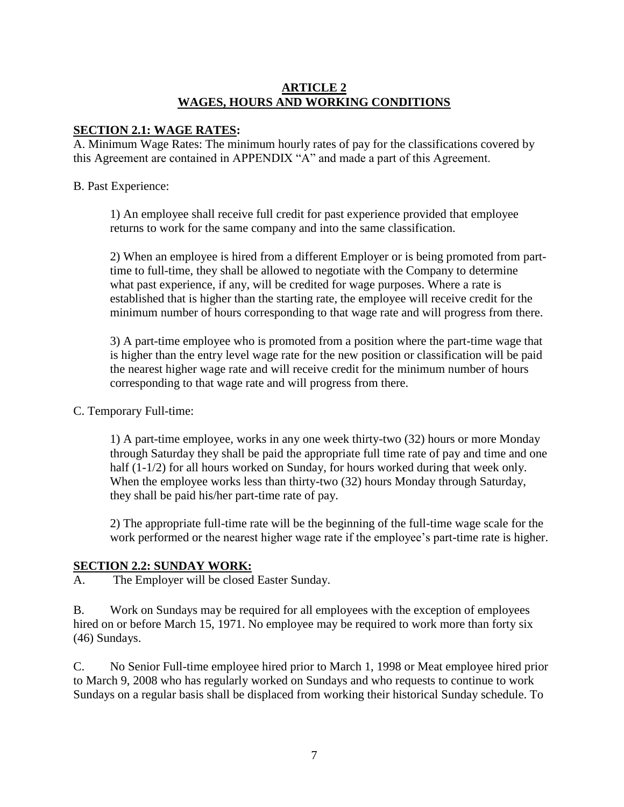#### **ARTICLE 2 WAGES, HOURS AND WORKING CONDITIONS**

#### **SECTION 2.1: WAGE RATES:**

A. Minimum Wage Rates: The minimum hourly rates of pay for the classifications covered by this Agreement are contained in APPENDIX "A" and made a part of this Agreement.

#### B. Past Experience:

1) An employee shall receive full credit for past experience provided that employee returns to work for the same company and into the same classification.

2) When an employee is hired from a different Employer or is being promoted from parttime to full-time, they shall be allowed to negotiate with the Company to determine what past experience, if any, will be credited for wage purposes. Where a rate is established that is higher than the starting rate, the employee will receive credit for the minimum number of hours corresponding to that wage rate and will progress from there.

3) A part-time employee who is promoted from a position where the part-time wage that is higher than the entry level wage rate for the new position or classification will be paid the nearest higher wage rate and will receive credit for the minimum number of hours corresponding to that wage rate and will progress from there.

### C. Temporary Full-time:

1) A part-time employee, works in any one week thirty-two (32) hours or more Monday through Saturday they shall be paid the appropriate full time rate of pay and time and one half (1-1/2) for all hours worked on Sunday, for hours worked during that week only. When the employee works less than thirty-two (32) hours Monday through Saturday, they shall be paid his/her part-time rate of pay.

2) The appropriate full-time rate will be the beginning of the full-time wage scale for the work performed or the nearest higher wage rate if the employee's part-time rate is higher.

### **SECTION 2.2: SUNDAY WORK:**

A. The Employer will be closed Easter Sunday.

B. Work on Sundays may be required for all employees with the exception of employees hired on or before March 15, 1971. No employee may be required to work more than forty six (46) Sundays.

C. No Senior Full-time employee hired prior to March 1, 1998 or Meat employee hired prior to March 9, 2008 who has regularly worked on Sundays and who requests to continue to work Sundays on a regular basis shall be displaced from working their historical Sunday schedule. To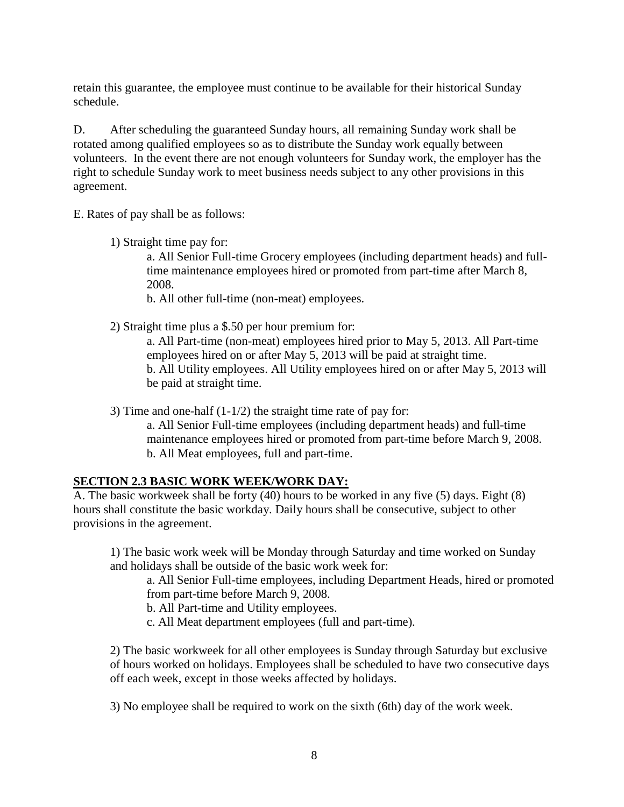retain this guarantee, the employee must continue to be available for their historical Sunday schedule.

D. After scheduling the guaranteed Sunday hours, all remaining Sunday work shall be rotated among qualified employees so as to distribute the Sunday work equally between volunteers. In the event there are not enough volunteers for Sunday work, the employer has the right to schedule Sunday work to meet business needs subject to any other provisions in this agreement.

E. Rates of pay shall be as follows:

1) Straight time pay for:

a. All Senior Full-time Grocery employees (including department heads) and fulltime maintenance employees hired or promoted from part-time after March 8, 2008.

b. All other full-time (non-meat) employees.

2) Straight time plus a \$.50 per hour premium for:

a. All Part-time (non-meat) employees hired prior to May 5, 2013. All Part-time employees hired on or after May 5, 2013 will be paid at straight time. b. All Utility employees. All Utility employees hired on or after May 5, 2013 will be paid at straight time.

3) Time and one-half (1-1/2) the straight time rate of pay for:

a. All Senior Full-time employees (including department heads) and full-time maintenance employees hired or promoted from part-time before March 9, 2008. b. All Meat employees, full and part-time.

### **SECTION 2.3 BASIC WORK WEEK/WORK DAY:**

A. The basic workweek shall be forty (40) hours to be worked in any five (5) days. Eight (8) hours shall constitute the basic workday. Daily hours shall be consecutive, subject to other provisions in the agreement.

1) The basic work week will be Monday through Saturday and time worked on Sunday and holidays shall be outside of the basic work week for:

a. All Senior Full-time employees, including Department Heads, hired or promoted from part-time before March 9, 2008.

b. All Part-time and Utility employees.

c. All Meat department employees (full and part-time).

2) The basic workweek for all other employees is Sunday through Saturday but exclusive of hours worked on holidays. Employees shall be scheduled to have two consecutive days off each week, except in those weeks affected by holidays.

3) No employee shall be required to work on the sixth (6th) day of the work week.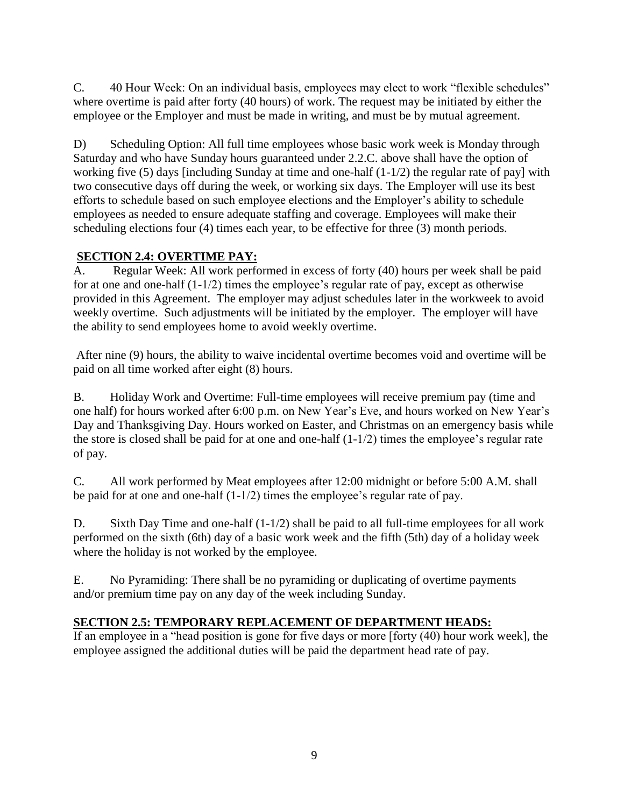C. 40 Hour Week: On an individual basis, employees may elect to work "flexible schedules" where overtime is paid after forty (40 hours) of work. The request may be initiated by either the employee or the Employer and must be made in writing, and must be by mutual agreement.

D) Scheduling Option: All full time employees whose basic work week is Monday through Saturday and who have Sunday hours guaranteed under 2.2.C. above shall have the option of working five (5) days [including Sunday at time and one-half (1-1/2) the regular rate of pay] with two consecutive days off during the week, or working six days. The Employer will use its best efforts to schedule based on such employee elections and the Employer's ability to schedule employees as needed to ensure adequate staffing and coverage. Employees will make their scheduling elections four (4) times each year, to be effective for three (3) month periods.

## **SECTION 2.4: OVERTIME PAY:**

A. Regular Week: All work performed in excess of forty (40) hours per week shall be paid for at one and one-half (1-1/2) times the employee's regular rate of pay, except as otherwise provided in this Agreement. The employer may adjust schedules later in the workweek to avoid weekly overtime. Such adjustments will be initiated by the employer. The employer will have the ability to send employees home to avoid weekly overtime.

After nine (9) hours, the ability to waive incidental overtime becomes void and overtime will be paid on all time worked after eight (8) hours.

B. Holiday Work and Overtime: Full-time employees will receive premium pay (time and one half) for hours worked after 6:00 p.m. on New Year's Eve, and hours worked on New Year's Day and Thanksgiving Day. Hours worked on Easter, and Christmas on an emergency basis while the store is closed shall be paid for at one and one-half (1-1/2) times the employee's regular rate of pay.

C. All work performed by Meat employees after 12:00 midnight or before 5:00 A.M. shall be paid for at one and one-half (1-1/2) times the employee's regular rate of pay.

D. Sixth Day Time and one-half (1-1/2) shall be paid to all full-time employees for all work performed on the sixth (6th) day of a basic work week and the fifth (5th) day of a holiday week where the holiday is not worked by the employee.

E. No Pyramiding: There shall be no pyramiding or duplicating of overtime payments and/or premium time pay on any day of the week including Sunday.

## **SECTION 2.5: TEMPORARY REPLACEMENT OF DEPARTMENT HEADS:**

If an employee in a "head position is gone for five days or more [forty (40) hour work week], the employee assigned the additional duties will be paid the department head rate of pay.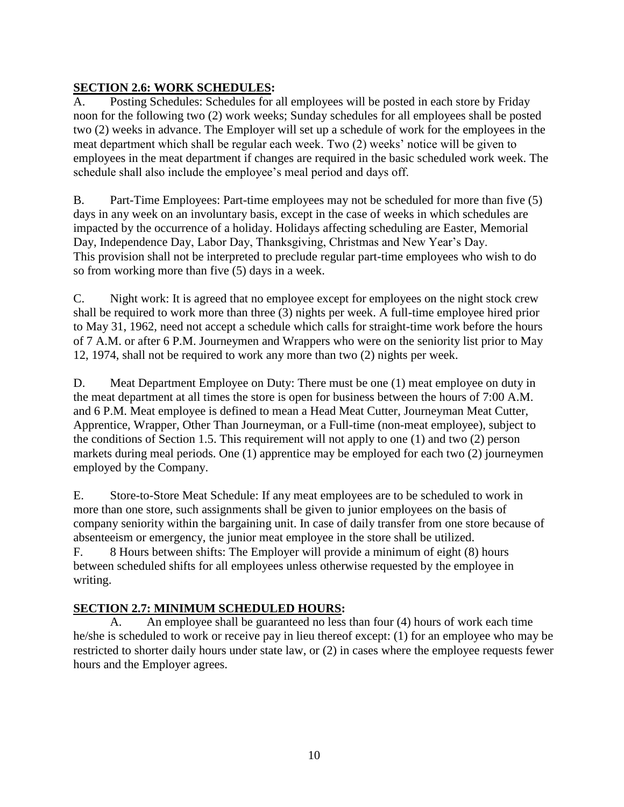## **SECTION 2.6: WORK SCHEDULES:**

A. Posting Schedules: Schedules for all employees will be posted in each store by Friday noon for the following two (2) work weeks; Sunday schedules for all employees shall be posted two (2) weeks in advance. The Employer will set up a schedule of work for the employees in the meat department which shall be regular each week. Two (2) weeks' notice will be given to employees in the meat department if changes are required in the basic scheduled work week. The schedule shall also include the employee's meal period and days off.

B. Part-Time Employees: Part-time employees may not be scheduled for more than five (5) days in any week on an involuntary basis, except in the case of weeks in which schedules are impacted by the occurrence of a holiday. Holidays affecting scheduling are Easter, Memorial Day, Independence Day, Labor Day, Thanksgiving, Christmas and New Year's Day. This provision shall not be interpreted to preclude regular part-time employees who wish to do so from working more than five (5) days in a week.

C. Night work: It is agreed that no employee except for employees on the night stock crew shall be required to work more than three (3) nights per week. A full-time employee hired prior to May 31, 1962, need not accept a schedule which calls for straight-time work before the hours of 7 A.M. or after 6 P.M. Journeymen and Wrappers who were on the seniority list prior to May 12, 1974, shall not be required to work any more than two (2) nights per week.

D. Meat Department Employee on Duty: There must be one (1) meat employee on duty in the meat department at all times the store is open for business between the hours of 7:00 A.M. and 6 P.M. Meat employee is defined to mean a Head Meat Cutter, Journeyman Meat Cutter, Apprentice, Wrapper, Other Than Journeyman, or a Full-time (non-meat employee), subject to the conditions of Section 1.5. This requirement will not apply to one (1) and two (2) person markets during meal periods. One (1) apprentice may be employed for each two (2) journeymen employed by the Company.

E. Store-to-Store Meat Schedule: If any meat employees are to be scheduled to work in more than one store, such assignments shall be given to junior employees on the basis of company seniority within the bargaining unit. In case of daily transfer from one store because of absenteeism or emergency, the junior meat employee in the store shall be utilized. F. 8 Hours between shifts: The Employer will provide a minimum of eight (8) hours between scheduled shifts for all employees unless otherwise requested by the employee in writing.

## **SECTION 2.7: MINIMUM SCHEDULED HOURS:**

A. An employee shall be guaranteed no less than four (4) hours of work each time he/she is scheduled to work or receive pay in lieu thereof except: (1) for an employee who may be restricted to shorter daily hours under state law, or (2) in cases where the employee requests fewer hours and the Employer agrees.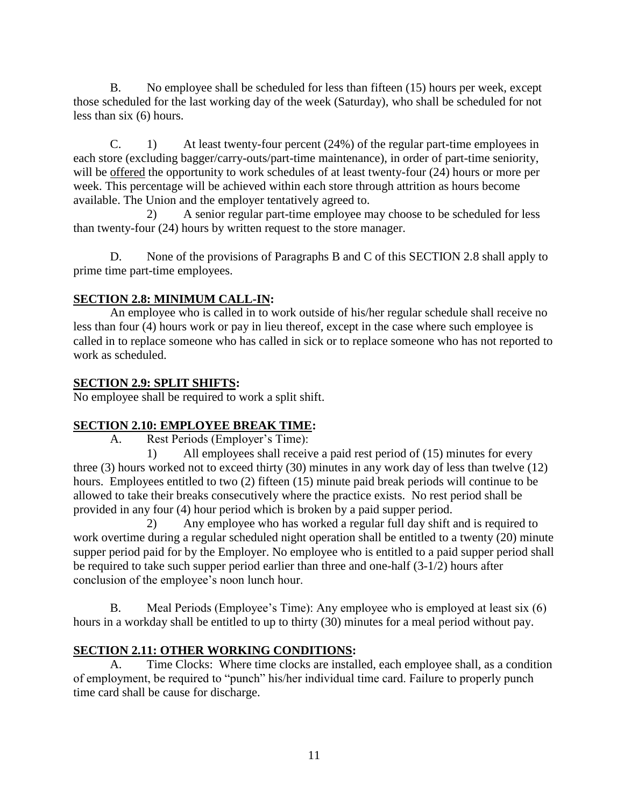B. No employee shall be scheduled for less than fifteen (15) hours per week, except those scheduled for the last working day of the week (Saturday), who shall be scheduled for not less than six (6) hours.

C. 1) At least twenty-four percent (24%) of the regular part-time employees in each store (excluding bagger/carry-outs/part-time maintenance), in order of part-time seniority, will be offered the opportunity to work schedules of at least twenty-four  $(24)$  hours or more per week. This percentage will be achieved within each store through attrition as hours become available. The Union and the employer tentatively agreed to.

2) A senior regular part-time employee may choose to be scheduled for less than twenty-four (24) hours by written request to the store manager.

D. None of the provisions of Paragraphs B and C of this SECTION 2.8 shall apply to prime time part-time employees.

## **SECTION 2.8: MINIMUM CALL-IN:**

An employee who is called in to work outside of his/her regular schedule shall receive no less than four (4) hours work or pay in lieu thereof, except in the case where such employee is called in to replace someone who has called in sick or to replace someone who has not reported to work as scheduled.

### **SECTION 2.9: SPLIT SHIFTS:**

No employee shall be required to work a split shift.

### **SECTION 2.10: EMPLOYEE BREAK TIME:**

A. Rest Periods (Employer's Time):

1) All employees shall receive a paid rest period of (15) minutes for every three (3) hours worked not to exceed thirty (30) minutes in any work day of less than twelve (12) hours. Employees entitled to two (2) fifteen (15) minute paid break periods will continue to be allowed to take their breaks consecutively where the practice exists. No rest period shall be provided in any four (4) hour period which is broken by a paid supper period.

2) Any employee who has worked a regular full day shift and is required to work overtime during a regular scheduled night operation shall be entitled to a twenty (20) minute supper period paid for by the Employer. No employee who is entitled to a paid supper period shall be required to take such supper period earlier than three and one-half (3-1/2) hours after conclusion of the employee's noon lunch hour.

B. Meal Periods (Employee's Time): Any employee who is employed at least six (6) hours in a workday shall be entitled to up to thirty (30) minutes for a meal period without pay.

## **SECTION 2.11: OTHER WORKING CONDITIONS:**

Time Clocks: Where time clocks are installed, each employee shall, as a condition of employment, be required to "punch" his/her individual time card. Failure to properly punch time card shall be cause for discharge.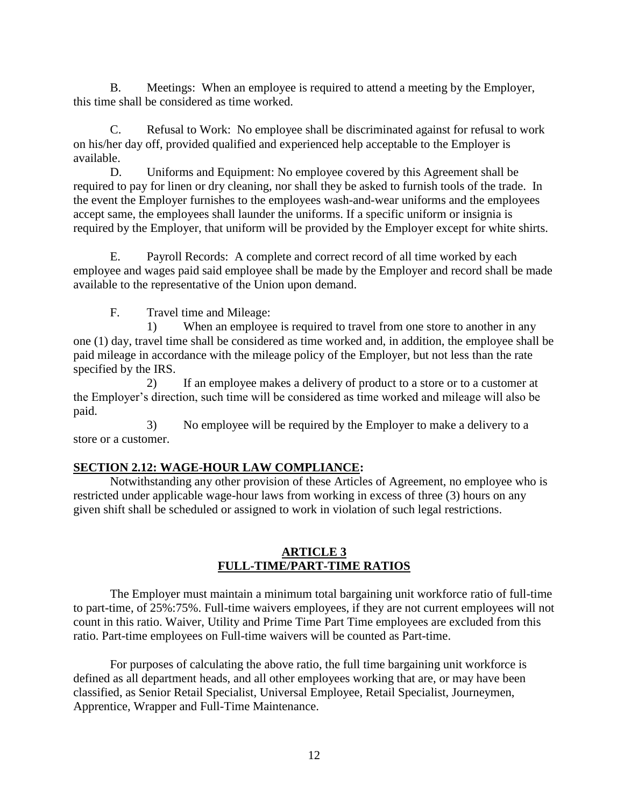B. Meetings: When an employee is required to attend a meeting by the Employer, this time shall be considered as time worked.

C. Refusal to Work: No employee shall be discriminated against for refusal to work on his/her day off, provided qualified and experienced help acceptable to the Employer is available.

D. Uniforms and Equipment: No employee covered by this Agreement shall be required to pay for linen or dry cleaning, nor shall they be asked to furnish tools of the trade. In the event the Employer furnishes to the employees wash-and-wear uniforms and the employees accept same, the employees shall launder the uniforms. If a specific uniform or insignia is required by the Employer, that uniform will be provided by the Employer except for white shirts.

E. Payroll Records: A complete and correct record of all time worked by each employee and wages paid said employee shall be made by the Employer and record shall be made available to the representative of the Union upon demand.

F. Travel time and Mileage:

1) When an employee is required to travel from one store to another in any one (1) day, travel time shall be considered as time worked and, in addition, the employee shall be paid mileage in accordance with the mileage policy of the Employer, but not less than the rate specified by the IRS.

2) If an employee makes a delivery of product to a store or to a customer at the Employer's direction, such time will be considered as time worked and mileage will also be paid.

3) No employee will be required by the Employer to make a delivery to a store or a customer.

### **SECTION 2.12: WAGE-HOUR LAW COMPLIANCE:**

Notwithstanding any other provision of these Articles of Agreement, no employee who is restricted under applicable wage-hour laws from working in excess of three (3) hours on any given shift shall be scheduled or assigned to work in violation of such legal restrictions.

#### **ARTICLE 3 FULL-TIME/PART-TIME RATIOS**

The Employer must maintain a minimum total bargaining unit workforce ratio of full-time to part-time, of 25%:75%. Full-time waivers employees, if they are not current employees will not count in this ratio. Waiver, Utility and Prime Time Part Time employees are excluded from this ratio. Part-time employees on Full-time waivers will be counted as Part-time.

For purposes of calculating the above ratio, the full time bargaining unit workforce is defined as all department heads, and all other employees working that are, or may have been classified, as Senior Retail Specialist, Universal Employee, Retail Specialist, Journeymen, Apprentice, Wrapper and Full-Time Maintenance.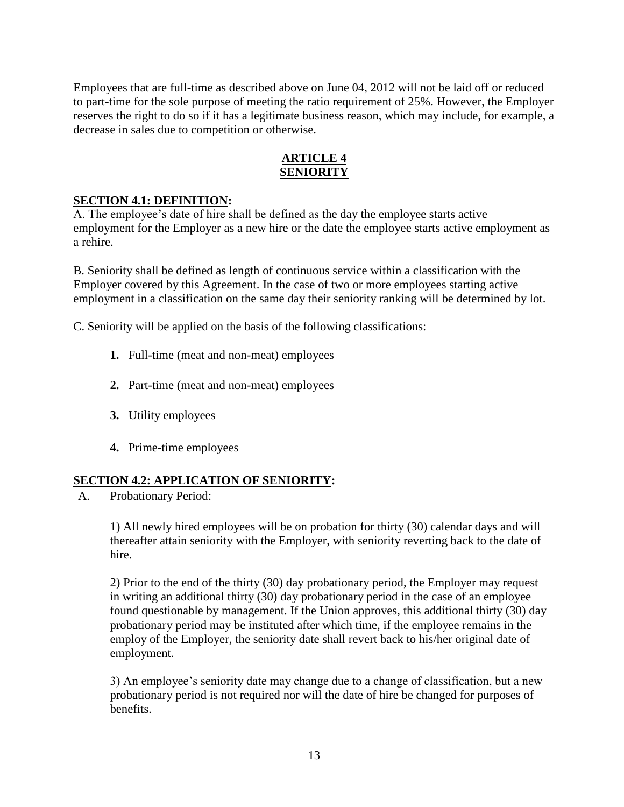Employees that are full-time as described above on June 04, 2012 will not be laid off or reduced to part-time for the sole purpose of meeting the ratio requirement of 25%. However, the Employer reserves the right to do so if it has a legitimate business reason, which may include, for example, a decrease in sales due to competition or otherwise.

### **ARTICLE 4 SENIORITY**

#### **SECTION 4.1: DEFINITION:**

A. The employee's date of hire shall be defined as the day the employee starts active employment for the Employer as a new hire or the date the employee starts active employment as a rehire.

B. Seniority shall be defined as length of continuous service within a classification with the Employer covered by this Agreement. In the case of two or more employees starting active employment in a classification on the same day their seniority ranking will be determined by lot.

C. Seniority will be applied on the basis of the following classifications:

- **1.** Full-time (meat and non-meat) employees
- **2.** Part-time (meat and non-meat) employees
- **3.** Utility employees
- **4.** Prime-time employees

#### **SECTION 4.2: APPLICATION OF SENIORITY:**

A. Probationary Period:

1) All newly hired employees will be on probation for thirty (30) calendar days and will thereafter attain seniority with the Employer, with seniority reverting back to the date of hire.

2) Prior to the end of the thirty (30) day probationary period, the Employer may request in writing an additional thirty (30) day probationary period in the case of an employee found questionable by management. If the Union approves, this additional thirty (30) day probationary period may be instituted after which time, if the employee remains in the employ of the Employer, the seniority date shall revert back to his/her original date of employment.

3) An employee's seniority date may change due to a change of classification, but a new probationary period is not required nor will the date of hire be changed for purposes of benefits.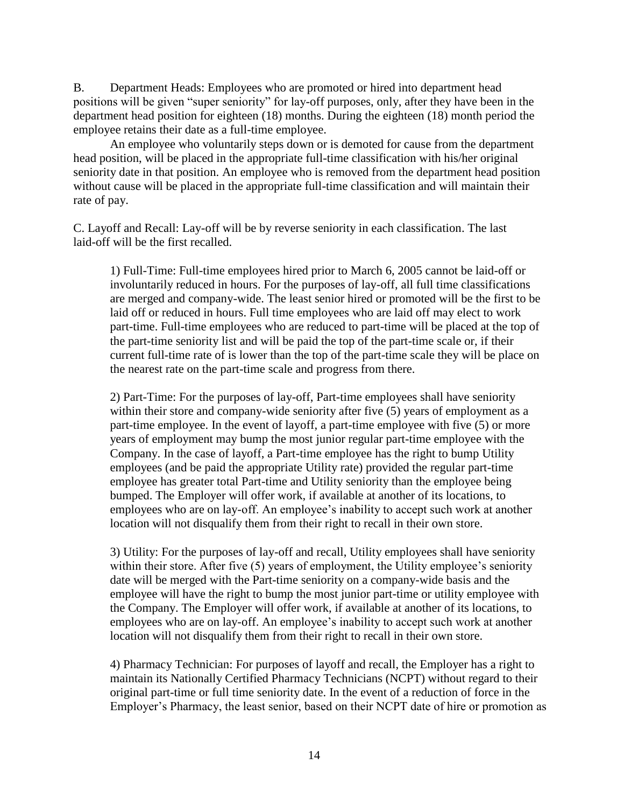B. Department Heads: Employees who are promoted or hired into department head positions will be given "super seniority" for lay-off purposes, only, after they have been in the department head position for eighteen (18) months. During the eighteen (18) month period the employee retains their date as a full-time employee.

An employee who voluntarily steps down or is demoted for cause from the department head position, will be placed in the appropriate full-time classification with his/her original seniority date in that position. An employee who is removed from the department head position without cause will be placed in the appropriate full-time classification and will maintain their rate of pay.

C. Layoff and Recall: Lay-off will be by reverse seniority in each classification. The last laid-off will be the first recalled.

1) Full-Time: Full-time employees hired prior to March 6, 2005 cannot be laid-off or involuntarily reduced in hours. For the purposes of lay-off, all full time classifications are merged and company-wide. The least senior hired or promoted will be the first to be laid off or reduced in hours. Full time employees who are laid off may elect to work part-time. Full-time employees who are reduced to part-time will be placed at the top of the part-time seniority list and will be paid the top of the part-time scale or, if their current full-time rate of is lower than the top of the part-time scale they will be place on the nearest rate on the part-time scale and progress from there.

2) Part-Time: For the purposes of lay-off, Part-time employees shall have seniority within their store and company-wide seniority after five (5) years of employment as a part-time employee. In the event of layoff, a part-time employee with five (5) or more years of employment may bump the most junior regular part-time employee with the Company. In the case of layoff, a Part-time employee has the right to bump Utility employees (and be paid the appropriate Utility rate) provided the regular part-time employee has greater total Part-time and Utility seniority than the employee being bumped. The Employer will offer work, if available at another of its locations, to employees who are on lay-off. An employee's inability to accept such work at another location will not disqualify them from their right to recall in their own store.

3) Utility: For the purposes of lay-off and recall, Utility employees shall have seniority within their store. After five (5) years of employment, the Utility employee's seniority date will be merged with the Part-time seniority on a company-wide basis and the employee will have the right to bump the most junior part-time or utility employee with the Company. The Employer will offer work, if available at another of its locations, to employees who are on lay-off. An employee's inability to accept such work at another location will not disqualify them from their right to recall in their own store.

4) Pharmacy Technician: For purposes of layoff and recall, the Employer has a right to maintain its Nationally Certified Pharmacy Technicians (NCPT) without regard to their original part-time or full time seniority date. In the event of a reduction of force in the Employer's Pharmacy, the least senior, based on their NCPT date of hire or promotion as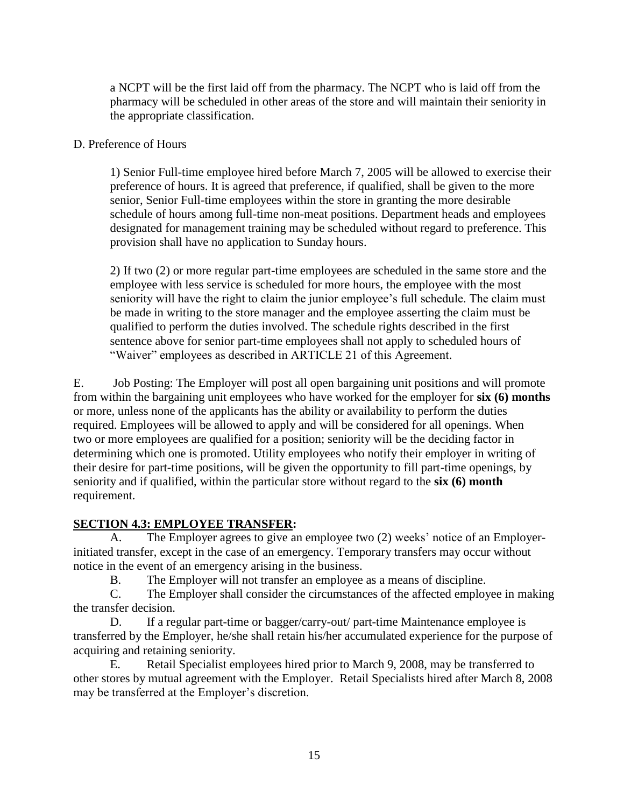a NCPT will be the first laid off from the pharmacy. The NCPT who is laid off from the pharmacy will be scheduled in other areas of the store and will maintain their seniority in the appropriate classification.

#### D. Preference of Hours

1) Senior Full-time employee hired before March 7, 2005 will be allowed to exercise their preference of hours. It is agreed that preference, if qualified, shall be given to the more senior, Senior Full-time employees within the store in granting the more desirable schedule of hours among full-time non-meat positions. Department heads and employees designated for management training may be scheduled without regard to preference. This provision shall have no application to Sunday hours.

2) If two (2) or more regular part-time employees are scheduled in the same store and the employee with less service is scheduled for more hours, the employee with the most seniority will have the right to claim the junior employee's full schedule. The claim must be made in writing to the store manager and the employee asserting the claim must be qualified to perform the duties involved. The schedule rights described in the first sentence above for senior part-time employees shall not apply to scheduled hours of "Waiver" employees as described in ARTICLE 21 of this Agreement.

E. Job Posting: The Employer will post all open bargaining unit positions and will promote from within the bargaining unit employees who have worked for the employer for **six (6) months** or more, unless none of the applicants has the ability or availability to perform the duties required. Employees will be allowed to apply and will be considered for all openings. When two or more employees are qualified for a position; seniority will be the deciding factor in determining which one is promoted. Utility employees who notify their employer in writing of their desire for part-time positions, will be given the opportunity to fill part-time openings, by seniority and if qualified, within the particular store without regard to the **six (6) month** requirement.

### **SECTION 4.3: EMPLOYEE TRANSFER:**

A. The Employer agrees to give an employee two (2) weeks' notice of an Employerinitiated transfer, except in the case of an emergency. Temporary transfers may occur without notice in the event of an emergency arising in the business.

B. The Employer will not transfer an employee as a means of discipline.

C. The Employer shall consider the circumstances of the affected employee in making the transfer decision.

D. If a regular part-time or bagger/carry-out/ part-time Maintenance employee is transferred by the Employer, he/she shall retain his/her accumulated experience for the purpose of acquiring and retaining seniority.

E. Retail Specialist employees hired prior to March 9, 2008, may be transferred to other stores by mutual agreement with the Employer. Retail Specialists hired after March 8, 2008 may be transferred at the Employer's discretion.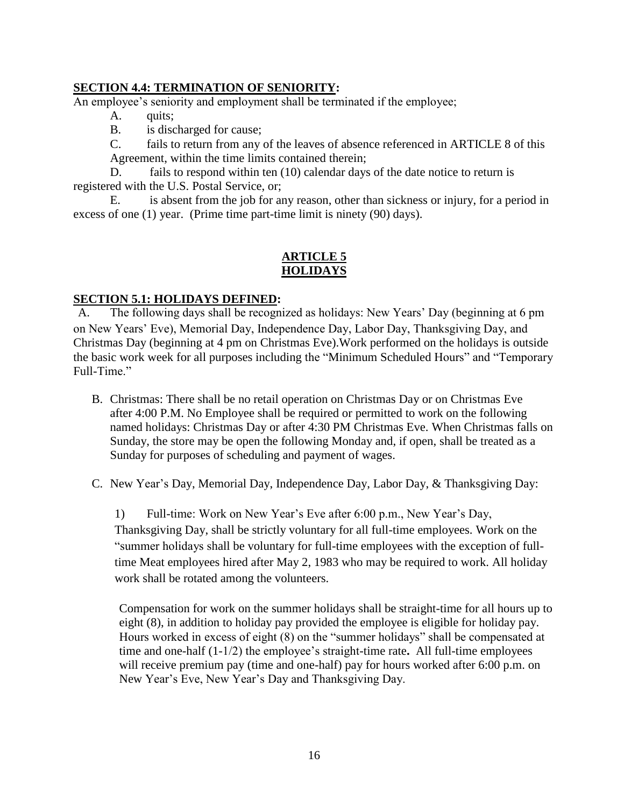### **SECTION 4.4: TERMINATION OF SENIORITY:**

An employee's seniority and employment shall be terminated if the employee;

- A. quits;
- B. is discharged for cause;
- C. fails to return from any of the leaves of absence referenced in ARTICLE 8 of this Agreement, within the time limits contained therein;

D. fails to respond within ten (10) calendar days of the date notice to return is registered with the U.S. Postal Service, or;

E. is absent from the job for any reason, other than sickness or injury, for a period in excess of one (1) year. (Prime time part-time limit is ninety (90) days).

#### **ARTICLE 5 HOLIDAYS**

#### **SECTION 5.1: HOLIDAYS DEFINED:**

A. The following days shall be recognized as holidays: New Years' Day (beginning at 6 pm on New Years' Eve), Memorial Day, Independence Day, Labor Day, Thanksgiving Day, and Christmas Day (beginning at 4 pm on Christmas Eve).Work performed on the holidays is outside the basic work week for all purposes including the "Minimum Scheduled Hours" and "Temporary Full-Time."

B. Christmas: There shall be no retail operation on Christmas Day or on Christmas Eve after 4:00 P.M. No Employee shall be required or permitted to work on the following named holidays: Christmas Day or after 4:30 PM Christmas Eve. When Christmas falls on Sunday, the store may be open the following Monday and, if open, shall be treated as a Sunday for purposes of scheduling and payment of wages.

C. New Year's Day, Memorial Day, Independence Day, Labor Day, & Thanksgiving Day:

1) Full-time: Work on New Year's Eve after 6:00 p.m., New Year's Day, Thanksgiving Day, shall be strictly voluntary for all full-time employees. Work on the "summer holidays shall be voluntary for full-time employees with the exception of fulltime Meat employees hired after May 2, 1983 who may be required to work. All holiday work shall be rotated among the volunteers.

Compensation for work on the summer holidays shall be straight-time for all hours up to eight (8), in addition to holiday pay provided the employee is eligible for holiday pay. Hours worked in excess of eight (8) on the "summer holidays" shall be compensated at time and one-half (1-1/2) the employee's straight-time rate**.** All full-time employees will receive premium pay (time and one-half) pay for hours worked after 6:00 p.m. on New Year's Eve, New Year's Day and Thanksgiving Day.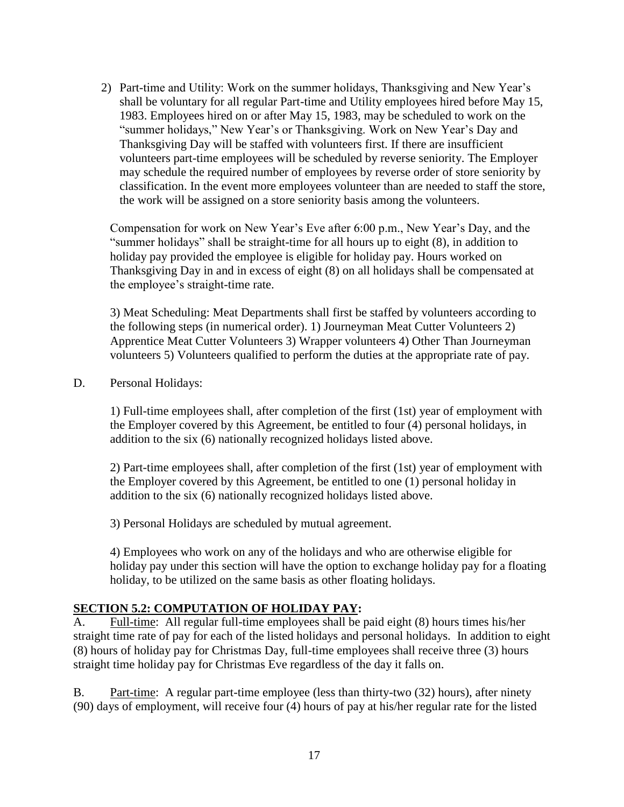2) Part-time and Utility: Work on the summer holidays, Thanksgiving and New Year's shall be voluntary for all regular Part-time and Utility employees hired before May 15, 1983. Employees hired on or after May 15, 1983, may be scheduled to work on the "summer holidays," New Year's or Thanksgiving. Work on New Year's Day and Thanksgiving Day will be staffed with volunteers first. If there are insufficient volunteers part-time employees will be scheduled by reverse seniority. The Employer may schedule the required number of employees by reverse order of store seniority by classification. In the event more employees volunteer than are needed to staff the store, the work will be assigned on a store seniority basis among the volunteers.

Compensation for work on New Year's Eve after 6:00 p.m., New Year's Day, and the "summer holidays" shall be straight-time for all hours up to eight (8), in addition to holiday pay provided the employee is eligible for holiday pay. Hours worked on Thanksgiving Day in and in excess of eight (8) on all holidays shall be compensated at the employee's straight-time rate.

3) Meat Scheduling: Meat Departments shall first be staffed by volunteers according to the following steps (in numerical order). 1) Journeyman Meat Cutter Volunteers 2) Apprentice Meat Cutter Volunteers 3) Wrapper volunteers 4) Other Than Journeyman volunteers 5) Volunteers qualified to perform the duties at the appropriate rate of pay.

D. Personal Holidays:

1) Full-time employees shall, after completion of the first (1st) year of employment with the Employer covered by this Agreement, be entitled to four (4) personal holidays, in addition to the six (6) nationally recognized holidays listed above.

2) Part-time employees shall, after completion of the first (1st) year of employment with the Employer covered by this Agreement, be entitled to one (1) personal holiday in addition to the six (6) nationally recognized holidays listed above.

3) Personal Holidays are scheduled by mutual agreement.

4) Employees who work on any of the holidays and who are otherwise eligible for holiday pay under this section will have the option to exchange holiday pay for a floating holiday, to be utilized on the same basis as other floating holidays.

## **SECTION 5.2: COMPUTATION OF HOLIDAY PAY:**

A. Full-time: All regular full-time employees shall be paid eight (8) hours times his/her straight time rate of pay for each of the listed holidays and personal holidays. In addition to eight (8) hours of holiday pay for Christmas Day, full-time employees shall receive three (3) hours straight time holiday pay for Christmas Eve regardless of the day it falls on.

B. Part-time: A regular part-time employee (less than thirty-two (32) hours), after ninety (90) days of employment, will receive four (4) hours of pay at his/her regular rate for the listed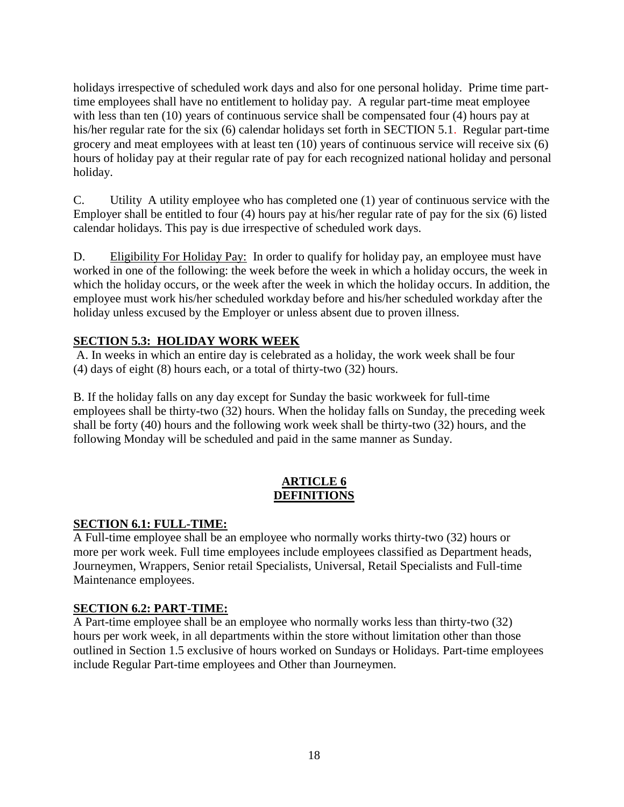holidays irrespective of scheduled work days and also for one personal holiday. Prime time parttime employees shall have no entitlement to holiday pay. A regular part-time meat employee with less than ten (10) years of continuous service shall be compensated four (4) hours pay at his/her regular rate for the six (6) calendar holidays set forth in SECTION 5.1. Regular part-time grocery and meat employees with at least ten (10) years of continuous service will receive six (6) hours of holiday pay at their regular rate of pay for each recognized national holiday and personal holiday.

C. Utility A utility employee who has completed one (1) year of continuous service with the Employer shall be entitled to four (4) hours pay at his/her regular rate of pay for the six (6) listed calendar holidays. This pay is due irrespective of scheduled work days.

D. Eligibility For Holiday Pay: In order to qualify for holiday pay, an employee must have worked in one of the following: the week before the week in which a holiday occurs, the week in which the holiday occurs, or the week after the week in which the holiday occurs. In addition, the employee must work his/her scheduled workday before and his/her scheduled workday after the holiday unless excused by the Employer or unless absent due to proven illness.

## **SECTION 5.3: HOLIDAY WORK WEEK**

A. In weeks in which an entire day is celebrated as a holiday, the work week shall be four (4) days of eight (8) hours each, or a total of thirty-two (32) hours.

B. If the holiday falls on any day except for Sunday the basic workweek for full-time employees shall be thirty-two (32) hours. When the holiday falls on Sunday, the preceding week shall be forty (40) hours and the following work week shall be thirty-two (32) hours, and the following Monday will be scheduled and paid in the same manner as Sunday.

### **ARTICLE 6 DEFINITIONS**

### **SECTION 6.1: FULL-TIME:**

A Full-time employee shall be an employee who normally works thirty-two (32) hours or more per work week. Full time employees include employees classified as Department heads, Journeymen, Wrappers, Senior retail Specialists, Universal, Retail Specialists and Full-time Maintenance employees.

### **SECTION 6.2: PART-TIME:**

A Part-time employee shall be an employee who normally works less than thirty-two (32) hours per work week, in all departments within the store without limitation other than those outlined in Section 1.5 exclusive of hours worked on Sundays or Holidays. Part-time employees include Regular Part-time employees and Other than Journeymen.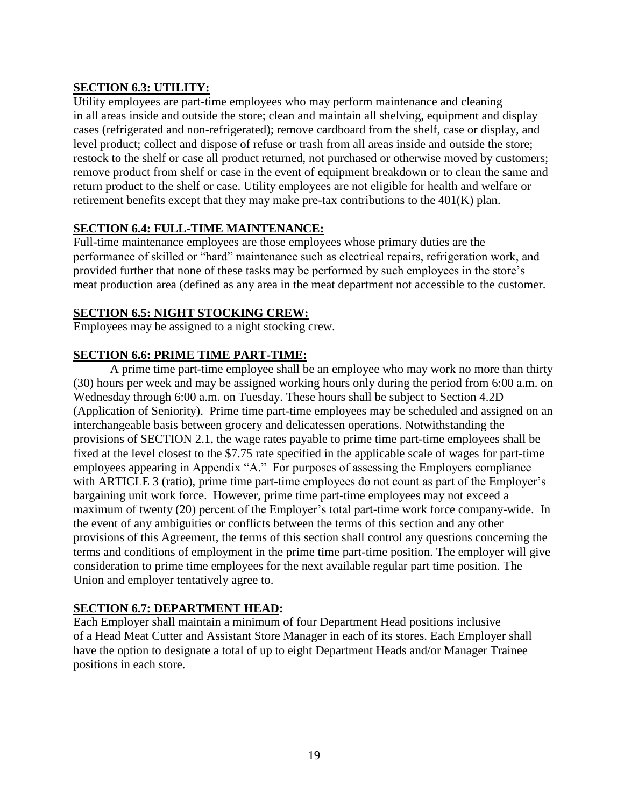## **SECTION 6.3: UTILITY:**

Utility employees are part-time employees who may perform maintenance and cleaning in all areas inside and outside the store; clean and maintain all shelving, equipment and display cases (refrigerated and non-refrigerated); remove cardboard from the shelf, case or display, and level product; collect and dispose of refuse or trash from all areas inside and outside the store; restock to the shelf or case all product returned, not purchased or otherwise moved by customers; remove product from shelf or case in the event of equipment breakdown or to clean the same and return product to the shelf or case. Utility employees are not eligible for health and welfare or retirement benefits except that they may make pre-tax contributions to the 401(K) plan.

## **SECTION 6.4: FULL-TIME MAINTENANCE:**

Full-time maintenance employees are those employees whose primary duties are the performance of skilled or "hard" maintenance such as electrical repairs, refrigeration work, and provided further that none of these tasks may be performed by such employees in the store's meat production area (defined as any area in the meat department not accessible to the customer.

## **SECTION 6.5: NIGHT STOCKING CREW:**

Employees may be assigned to a night stocking crew.

## **SECTION 6.6: PRIME TIME PART-TIME:**

A prime time part-time employee shall be an employee who may work no more than thirty (30) hours per week and may be assigned working hours only during the period from 6:00 a.m. on Wednesday through 6:00 a.m. on Tuesday. These hours shall be subject to Section 4.2D (Application of Seniority). Prime time part-time employees may be scheduled and assigned on an interchangeable basis between grocery and delicatessen operations. Notwithstanding the provisions of SECTION 2.1, the wage rates payable to prime time part-time employees shall be fixed at the level closest to the \$7.75 rate specified in the applicable scale of wages for part-time employees appearing in Appendix "A." For purposes of assessing the Employers compliance with ARTICLE 3 (ratio), prime time part-time employees do not count as part of the Employer's bargaining unit work force. However, prime time part-time employees may not exceed a maximum of twenty (20) percent of the Employer's total part-time work force company-wide.In the event of any ambiguities or conflicts between the terms of this section and any other provisions of this Agreement, the terms of this section shall control any questions concerning the terms and conditions of employment in the prime time part-time position. The employer will give consideration to prime time employees for the next available regular part time position. The Union and employer tentatively agree to.

## **SECTION 6.7: DEPARTMENT HEAD:**

Each Employer shall maintain a minimum of four Department Head positions inclusive of a Head Meat Cutter and Assistant Store Manager in each of its stores. Each Employer shall have the option to designate a total of up to eight Department Heads and/or Manager Trainee positions in each store.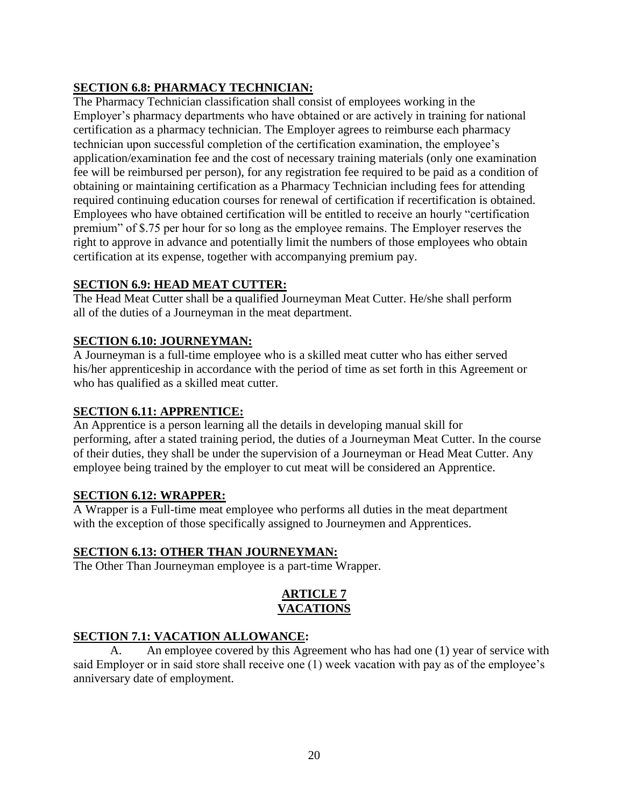# **SECTION 6.8: PHARMACY TECHNICIAN:**

The Pharmacy Technician classification shall consist of employees working in the Employer's pharmacy departments who have obtained or are actively in training for national certification as a pharmacy technician. The Employer agrees to reimburse each pharmacy technician upon successful completion of the certification examination, the employee's application/examination fee and the cost of necessary training materials (only one examination fee will be reimbursed per person), for any registration fee required to be paid as a condition of obtaining or maintaining certification as a Pharmacy Technician including fees for attending required continuing education courses for renewal of certification if recertification is obtained. Employees who have obtained certification will be entitled to receive an hourly "certification premium" of \$.75 per hour for so long as the employee remains. The Employer reserves the right to approve in advance and potentially limit the numbers of those employees who obtain certification at its expense, together with accompanying premium pay.

## **SECTION 6.9: HEAD MEAT CUTTER:**

The Head Meat Cutter shall be a qualified Journeyman Meat Cutter. He/she shall perform all of the duties of a Journeyman in the meat department.

## **SECTION 6.10: JOURNEYMAN:**

A Journeyman is a full-time employee who is a skilled meat cutter who has either served his/her apprenticeship in accordance with the period of time as set forth in this Agreement or who has qualified as a skilled meat cutter.

### **SECTION 6.11: APPRENTICE:**

An Apprentice is a person learning all the details in developing manual skill for performing, after a stated training period, the duties of a Journeyman Meat Cutter. In the course of their duties, they shall be under the supervision of a Journeyman or Head Meat Cutter. Any employee being trained by the employer to cut meat will be considered an Apprentice.

### **SECTION 6.12: WRAPPER:**

A Wrapper is a Full-time meat employee who performs all duties in the meat department with the exception of those specifically assigned to Journeymen and Apprentices.

### **SECTION 6.13: OTHER THAN JOURNEYMAN:**

The Other Than Journeyman employee is a part-time Wrapper.

### **ARTICLE 7 VACATIONS**

### **SECTION 7.1: VACATION ALLOWANCE:**

A. An employee covered by this Agreement who has had one (1) year of service with said Employer or in said store shall receive one (1) week vacation with pay as of the employee's anniversary date of employment.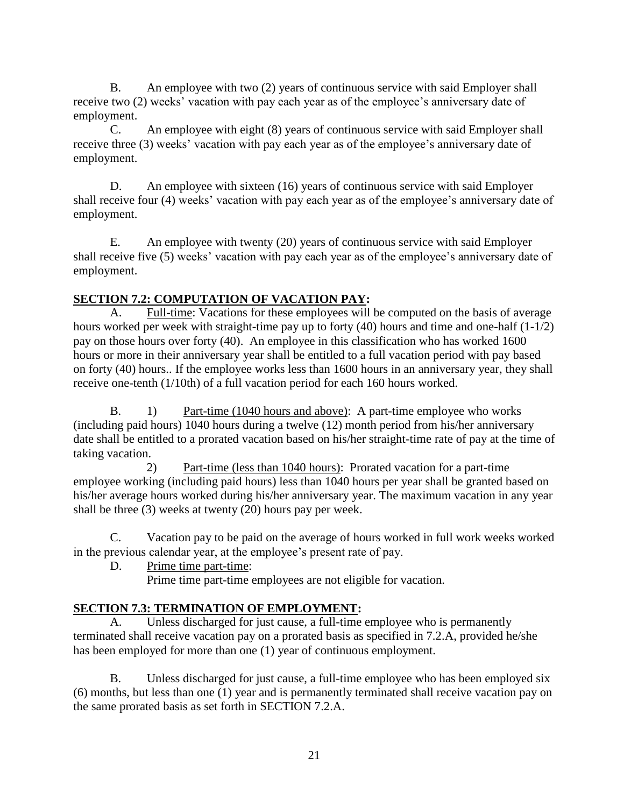B. An employee with two (2) years of continuous service with said Employer shall receive two (2) weeks' vacation with pay each year as of the employee's anniversary date of employment.

C. An employee with eight (8) years of continuous service with said Employer shall receive three (3) weeks' vacation with pay each year as of the employee's anniversary date of employment.

D. An employee with sixteen (16) years of continuous service with said Employer shall receive four (4) weeks' vacation with pay each year as of the employee's anniversary date of employment.

E. An employee with twenty (20) years of continuous service with said Employer shall receive five (5) weeks' vacation with pay each year as of the employee's anniversary date of employment.

# **SECTION 7.2: COMPUTATION OF VACATION PAY:**

A. Full-time: Vacations for these employees will be computed on the basis of average hours worked per week with straight-time pay up to forty (40) hours and time and one-half (1-1/2) pay on those hours over forty (40). An employee in this classification who has worked 1600 hours or more in their anniversary year shall be entitled to a full vacation period with pay based on forty (40) hours.. If the employee works less than 1600 hours in an anniversary year, they shall receive one-tenth (1/10th) of a full vacation period for each 160 hours worked.

B. 1) Part-time (1040 hours and above): A part-time employee who works (including paid hours) 1040 hours during a twelve (12) month period from his/her anniversary date shall be entitled to a prorated vacation based on his/her straight-time rate of pay at the time of taking vacation.

2) Part-time (less than 1040 hours): Prorated vacation for a part-time employee working (including paid hours) less than 1040 hours per year shall be granted based on his/her average hours worked during his/her anniversary year. The maximum vacation in any year shall be three (3) weeks at twenty (20) hours pay per week.

C. Vacation pay to be paid on the average of hours worked in full work weeks worked in the previous calendar year, at the employee's present rate of pay.

D. Prime time part-time:

Prime time part-time employees are not eligible for vacation.

# **SECTION 7.3: TERMINATION OF EMPLOYMENT:**

A. Unless discharged for just cause, a full-time employee who is permanently terminated shall receive vacation pay on a prorated basis as specified in 7.2.A, provided he/she has been employed for more than one (1) year of continuous employment.

B. Unless discharged for just cause, a full-time employee who has been employed six (6) months, but less than one (1) year and is permanently terminated shall receive vacation pay on the same prorated basis as set forth in SECTION 7.2.A.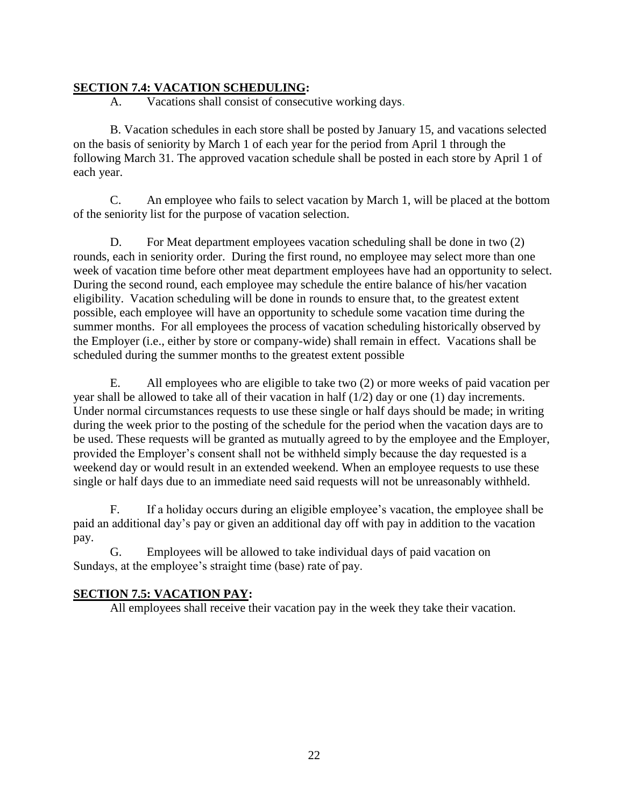## **SECTION 7.4: VACATION SCHEDULING:**

A. Vacations shall consist of consecutive working days.

B. Vacation schedules in each store shall be posted by January 15, and vacations selected on the basis of seniority by March 1 of each year for the period from April 1 through the following March 31. The approved vacation schedule shall be posted in each store by April 1 of each year.

C. An employee who fails to select vacation by March 1, will be placed at the bottom of the seniority list for the purpose of vacation selection.

D. For Meat department employees vacation scheduling shall be done in two (2) rounds, each in seniority order. During the first round, no employee may select more than one week of vacation time before other meat department employees have had an opportunity to select. During the second round, each employee may schedule the entire balance of his/her vacation eligibility. Vacation scheduling will be done in rounds to ensure that, to the greatest extent possible, each employee will have an opportunity to schedule some vacation time during the summer months. For all employees the process of vacation scheduling historically observed by the Employer (i.e., either by store or company-wide) shall remain in effect. Vacations shall be scheduled during the summer months to the greatest extent possible

E. All employees who are eligible to take two (2) or more weeks of paid vacation per year shall be allowed to take all of their vacation in half (1/2) day or one (1) day increments. Under normal circumstances requests to use these single or half days should be made; in writing during the week prior to the posting of the schedule for the period when the vacation days are to be used. These requests will be granted as mutually agreed to by the employee and the Employer, provided the Employer's consent shall not be withheld simply because the day requested is a weekend day or would result in an extended weekend. When an employee requests to use these single or half days due to an immediate need said requests will not be unreasonably withheld.

F. If a holiday occurs during an eligible employee's vacation, the employee shall be paid an additional day's pay or given an additional day off with pay in addition to the vacation pay.

G. Employees will be allowed to take individual days of paid vacation on Sundays, at the employee's straight time (base) rate of pay.

### **SECTION 7.5: VACATION PAY:**

All employees shall receive their vacation pay in the week they take their vacation.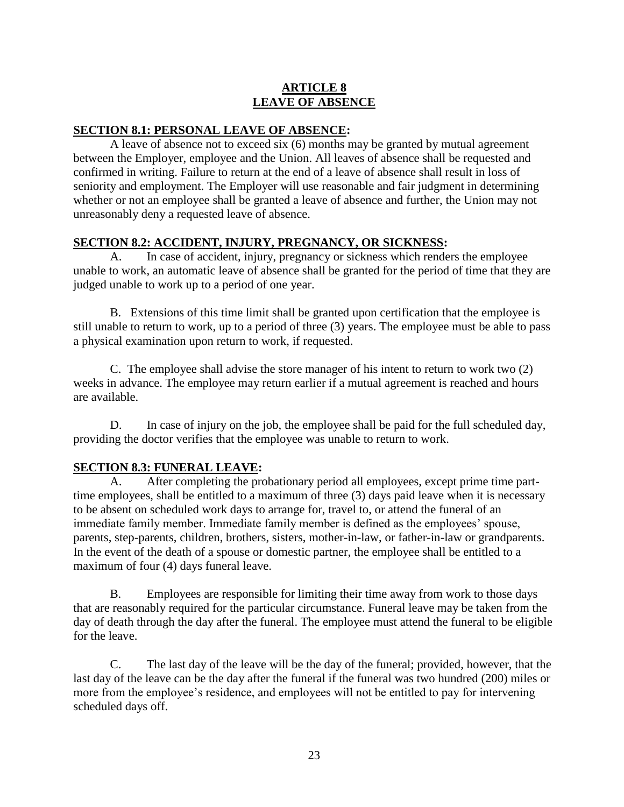### **ARTICLE 8 LEAVE OF ABSENCE**

### **SECTION 8.1: PERSONAL LEAVE OF ABSENCE:**

A leave of absence not to exceed six (6) months may be granted by mutual agreement between the Employer, employee and the Union. All leaves of absence shall be requested and confirmed in writing. Failure to return at the end of a leave of absence shall result in loss of seniority and employment. The Employer will use reasonable and fair judgment in determining whether or not an employee shall be granted a leave of absence and further, the Union may not unreasonably deny a requested leave of absence.

### **SECTION 8.2: ACCIDENT, INJURY, PREGNANCY, OR SICKNESS:**

A. In case of accident, injury, pregnancy or sickness which renders the employee unable to work, an automatic leave of absence shall be granted for the period of time that they are judged unable to work up to a period of one year.

B. Extensions of this time limit shall be granted upon certification that the employee is still unable to return to work, up to a period of three (3) years. The employee must be able to pass a physical examination upon return to work, if requested.

C. The employee shall advise the store manager of his intent to return to work two (2) weeks in advance. The employee may return earlier if a mutual agreement is reached and hours are available.

D. In case of injury on the job, the employee shall be paid for the full scheduled day, providing the doctor verifies that the employee was unable to return to work.

## **SECTION 8.3: FUNERAL LEAVE:**

A. After completing the probationary period all employees, except prime time parttime employees, shall be entitled to a maximum of three (3) days paid leave when it is necessary to be absent on scheduled work days to arrange for, travel to, or attend the funeral of an immediate family member. Immediate family member is defined as the employees' spouse, parents, step-parents, children, brothers, sisters, mother-in-law, or father-in-law or grandparents. In the event of the death of a spouse or domestic partner, the employee shall be entitled to a maximum of four (4) days funeral leave.

B. Employees are responsible for limiting their time away from work to those days that are reasonably required for the particular circumstance. Funeral leave may be taken from the day of death through the day after the funeral. The employee must attend the funeral to be eligible for the leave.

C. The last day of the leave will be the day of the funeral; provided, however, that the last day of the leave can be the day after the funeral if the funeral was two hundred (200) miles or more from the employee's residence, and employees will not be entitled to pay for intervening scheduled days off.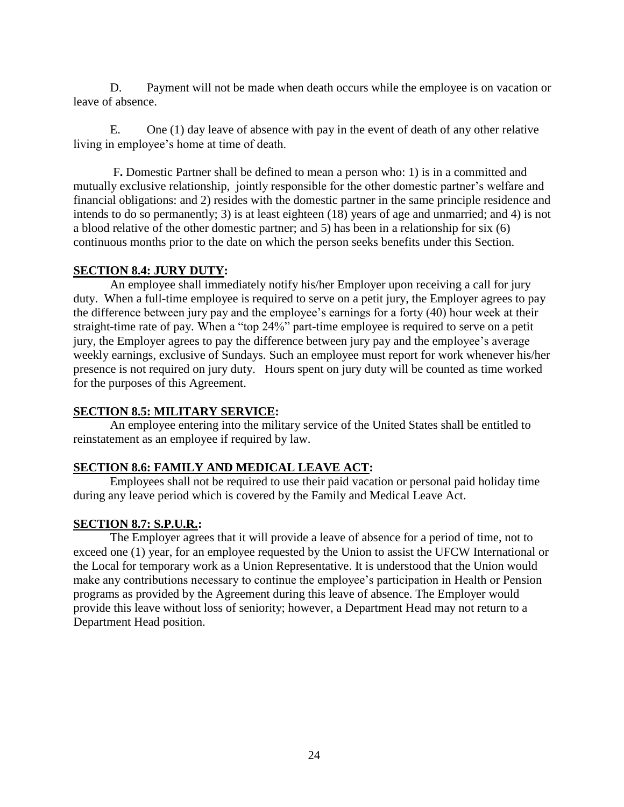D. Payment will not be made when death occurs while the employee is on vacation or leave of absence.

E. One (1) day leave of absence with pay in the event of death of any other relative living in employee's home at time of death.

F**.** Domestic Partner shall be defined to mean a person who: 1) is in a committed and mutually exclusive relationship, jointly responsible for the other domestic partner's welfare and financial obligations: and 2) resides with the domestic partner in the same principle residence and intends to do so permanently; 3) is at least eighteen (18) years of age and unmarried; and 4) is not a blood relative of the other domestic partner; and 5) has been in a relationship for six (6) continuous months prior to the date on which the person seeks benefits under this Section.

#### **SECTION 8.4: JURY DUTY:**

An employee shall immediately notify his/her Employer upon receiving a call for jury duty. When a full-time employee is required to serve on a petit jury, the Employer agrees to pay the difference between jury pay and the employee's earnings for a forty (40) hour week at their straight-time rate of pay. When a "top 24%" part-time employee is required to serve on a petit jury, the Employer agrees to pay the difference between jury pay and the employee's average weekly earnings, exclusive of Sundays. Such an employee must report for work whenever his/her presence is not required on jury duty. Hours spent on jury duty will be counted as time worked for the purposes of this Agreement.

### **SECTION 8.5: MILITARY SERVICE:**

An employee entering into the military service of the United States shall be entitled to reinstatement as an employee if required by law.

### **SECTION 8.6: FAMILY AND MEDICAL LEAVE ACT:**

Employees shall not be required to use their paid vacation or personal paid holiday time during any leave period which is covered by the Family and Medical Leave Act.

#### **SECTION 8.7: S.P.U.R.:**

The Employer agrees that it will provide a leave of absence for a period of time, not to exceed one (1) year, for an employee requested by the Union to assist the UFCW International or the Local for temporary work as a Union Representative. It is understood that the Union would make any contributions necessary to continue the employee's participation in Health or Pension programs as provided by the Agreement during this leave of absence. The Employer would provide this leave without loss of seniority; however, a Department Head may not return to a Department Head position.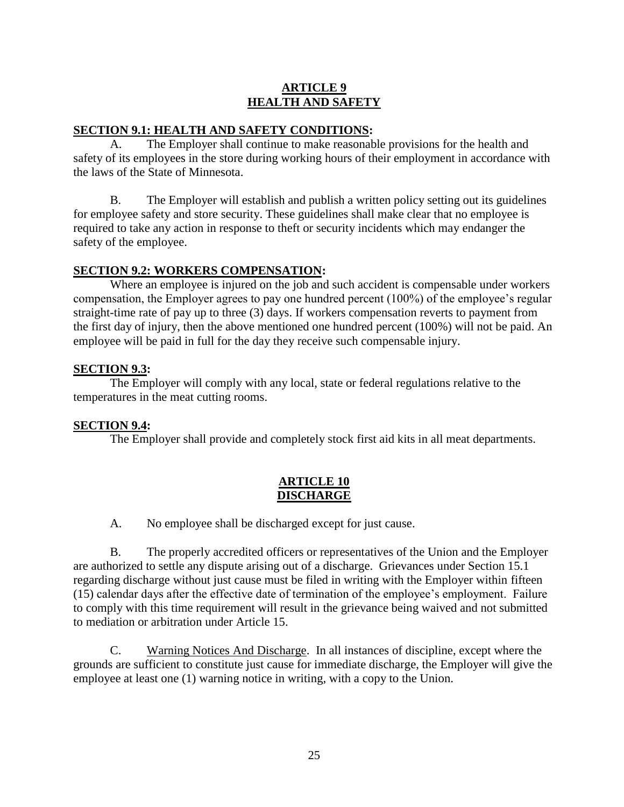## **ARTICLE 9 HEALTH AND SAFETY**

#### **SECTION 9.1: HEALTH AND SAFETY CONDITIONS:**

A. The Employer shall continue to make reasonable provisions for the health and safety of its employees in the store during working hours of their employment in accordance with the laws of the State of Minnesota.

B. The Employer will establish and publish a written policy setting out its guidelines for employee safety and store security. These guidelines shall make clear that no employee is required to take any action in response to theft or security incidents which may endanger the safety of the employee.

#### **SECTION 9.2: WORKERS COMPENSATION:**

Where an employee is injured on the job and such accident is compensable under workers compensation, the Employer agrees to pay one hundred percent (100%) of the employee's regular straight-time rate of pay up to three (3) days. If workers compensation reverts to payment from the first day of injury, then the above mentioned one hundred percent (100%) will not be paid. An employee will be paid in full for the day they receive such compensable injury.

#### **SECTION 9.3:**

The Employer will comply with any local, state or federal regulations relative to the temperatures in the meat cutting rooms.

#### **SECTION 9.4:**

The Employer shall provide and completely stock first aid kits in all meat departments.

#### **ARTICLE 10 DISCHARGE**

A. No employee shall be discharged except for just cause.

B. The properly accredited officers or representatives of the Union and the Employer are authorized to settle any dispute arising out of a discharge. Grievances under Section 15.1 regarding discharge without just cause must be filed in writing with the Employer within fifteen (15) calendar days after the effective date of termination of the employee's employment. Failure to comply with this time requirement will result in the grievance being waived and not submitted to mediation or arbitration under Article 15.

C. Warning Notices And Discharge. In all instances of discipline, except where the grounds are sufficient to constitute just cause for immediate discharge, the Employer will give the employee at least one (1) warning notice in writing, with a copy to the Union.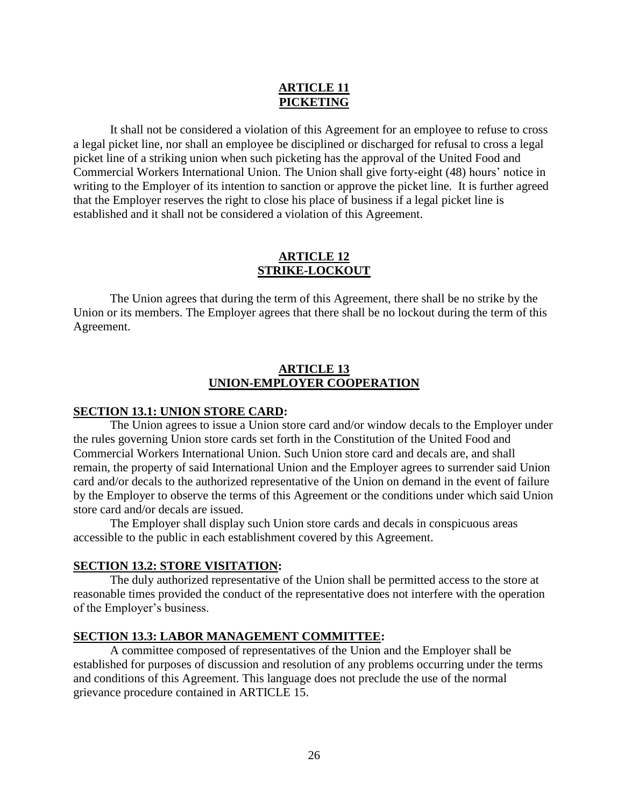## **ARTICLE 11 PICKETING**

It shall not be considered a violation of this Agreement for an employee to refuse to cross a legal picket line, nor shall an employee be disciplined or discharged for refusal to cross a legal picket line of a striking union when such picketing has the approval of the United Food and Commercial Workers International Union. The Union shall give forty-eight (48) hours' notice in writing to the Employer of its intention to sanction or approve the picket line. It is further agreed that the Employer reserves the right to close his place of business if a legal picket line is established and it shall not be considered a violation of this Agreement.

#### **ARTICLE 12 STRIKE-LOCKOUT**

The Union agrees that during the term of this Agreement, there shall be no strike by the Union or its members. The Employer agrees that there shall be no lockout during the term of this Agreement.

## **ARTICLE 13 UNION-EMPLOYER COOPERATION**

### **SECTION 13.1: UNION STORE CARD:**

The Union agrees to issue a Union store card and/or window decals to the Employer under the rules governing Union store cards set forth in the Constitution of the United Food and Commercial Workers International Union. Such Union store card and decals are, and shall remain, the property of said International Union and the Employer agrees to surrender said Union card and/or decals to the authorized representative of the Union on demand in the event of failure by the Employer to observe the terms of this Agreement or the conditions under which said Union store card and/or decals are issued.

The Employer shall display such Union store cards and decals in conspicuous areas accessible to the public in each establishment covered by this Agreement.

### **SECTION 13.2: STORE VISITATION:**

The duly authorized representative of the Union shall be permitted access to the store at reasonable times provided the conduct of the representative does not interfere with the operation of the Employer's business.

### **SECTION 13.3: LABOR MANAGEMENT COMMITTEE:**

A committee composed of representatives of the Union and the Employer shall be established for purposes of discussion and resolution of any problems occurring under the terms and conditions of this Agreement. This language does not preclude the use of the normal grievance procedure contained in ARTICLE 15.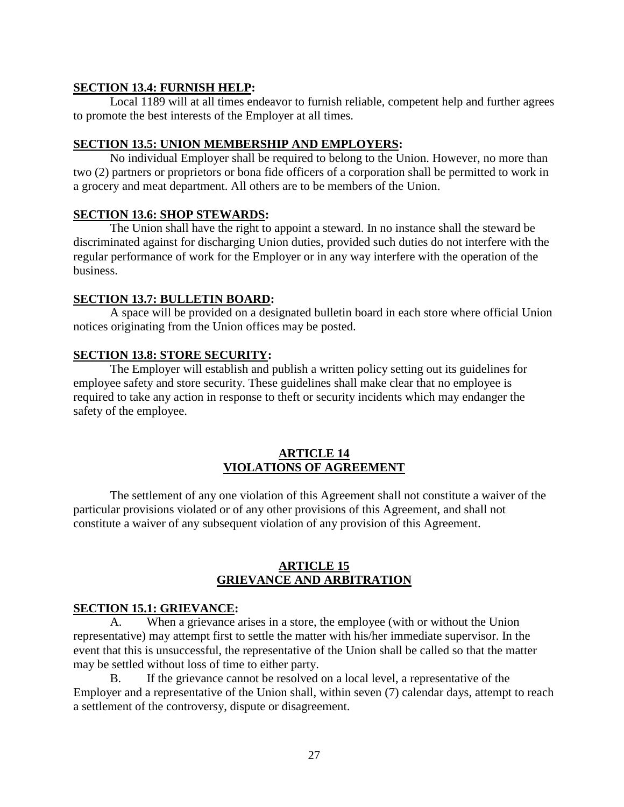#### **SECTION 13.4: FURNISH HELP:**

Local 1189 will at all times endeavor to furnish reliable, competent help and further agrees to promote the best interests of the Employer at all times.

#### **SECTION 13.5: UNION MEMBERSHIP AND EMPLOYERS:**

No individual Employer shall be required to belong to the Union. However, no more than two (2) partners or proprietors or bona fide officers of a corporation shall be permitted to work in a grocery and meat department. All others are to be members of the Union.

#### **SECTION 13.6: SHOP STEWARDS:**

The Union shall have the right to appoint a steward. In no instance shall the steward be discriminated against for discharging Union duties, provided such duties do not interfere with the regular performance of work for the Employer or in any way interfere with the operation of the business.

#### **SECTION 13.7: BULLETIN BOARD:**

A space will be provided on a designated bulletin board in each store where official Union notices originating from the Union offices may be posted.

#### **SECTION 13.8: STORE SECURITY:**

The Employer will establish and publish a written policy setting out its guidelines for employee safety and store security. These guidelines shall make clear that no employee is required to take any action in response to theft or security incidents which may endanger the safety of the employee.

#### **ARTICLE 14 VIOLATIONS OF AGREEMENT**

The settlement of any one violation of this Agreement shall not constitute a waiver of the particular provisions violated or of any other provisions of this Agreement, and shall not constitute a waiver of any subsequent violation of any provision of this Agreement.

#### **ARTICLE 15 GRIEVANCE AND ARBITRATION**

### **SECTION 15.1: GRIEVANCE:**

A. When a grievance arises in a store, the employee (with or without the Union representative) may attempt first to settle the matter with his/her immediate supervisor. In the event that this is unsuccessful, the representative of the Union shall be called so that the matter may be settled without loss of time to either party.

B. If the grievance cannot be resolved on a local level, a representative of the Employer and a representative of the Union shall, within seven (7) calendar days, attempt to reach a settlement of the controversy, dispute or disagreement.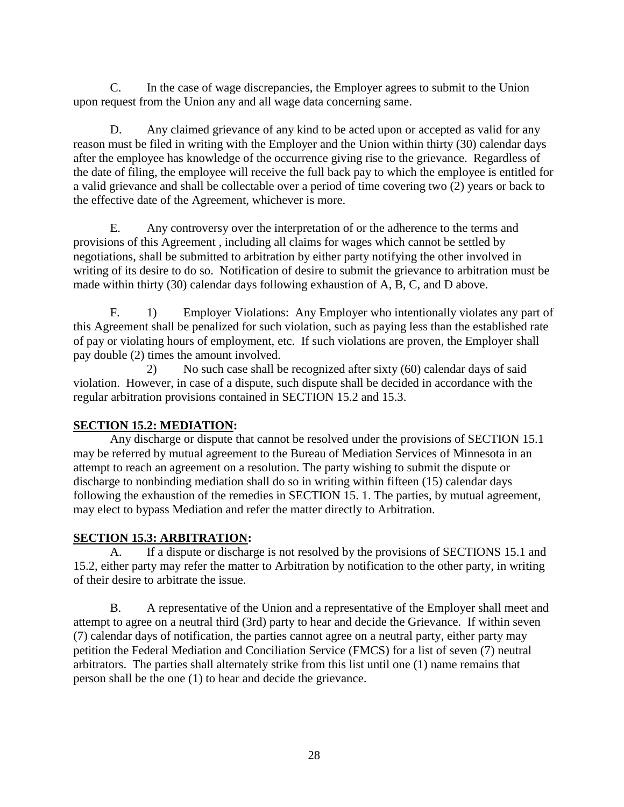C. In the case of wage discrepancies, the Employer agrees to submit to the Union upon request from the Union any and all wage data concerning same.

D. Any claimed grievance of any kind to be acted upon or accepted as valid for any reason must be filed in writing with the Employer and the Union within thirty (30) calendar days after the employee has knowledge of the occurrence giving rise to the grievance. Regardless of the date of filing, the employee will receive the full back pay to which the employee is entitled for a valid grievance and shall be collectable over a period of time covering two (2) years or back to the effective date of the Agreement, whichever is more.

E. Any controversy over the interpretation of or the adherence to the terms and provisions of this Agreement , including all claims for wages which cannot be settled by negotiations, shall be submitted to arbitration by either party notifying the other involved in writing of its desire to do so. Notification of desire to submit the grievance to arbitration must be made within thirty (30) calendar days following exhaustion of A, B, C, and D above.

F. 1) Employer Violations: Any Employer who intentionally violates any part of this Agreement shall be penalized for such violation, such as paying less than the established rate of pay or violating hours of employment, etc. If such violations are proven, the Employer shall pay double (2) times the amount involved.

2) No such case shall be recognized after sixty (60) calendar days of said violation. However, in case of a dispute, such dispute shall be decided in accordance with the regular arbitration provisions contained in SECTION 15.2 and 15.3.

## **SECTION 15.2: MEDIATION:**

Any discharge or dispute that cannot be resolved under the provisions of SECTION 15.1 may be referred by mutual agreement to the Bureau of Mediation Services of Minnesota in an attempt to reach an agreement on a resolution. The party wishing to submit the dispute or discharge to nonbinding mediation shall do so in writing within fifteen (15) calendar days following the exhaustion of the remedies in SECTION 15. 1. The parties, by mutual agreement, may elect to bypass Mediation and refer the matter directly to Arbitration.

# **SECTION 15.3: ARBITRATION:**

If a dispute or discharge is not resolved by the provisions of SECTIONS 15.1 and 15.2, either party may refer the matter to Arbitration by notification to the other party, in writing of their desire to arbitrate the issue.

B. A representative of the Union and a representative of the Employer shall meet and attempt to agree on a neutral third (3rd) party to hear and decide the Grievance. If within seven (7) calendar days of notification, the parties cannot agree on a neutral party, either party may petition the Federal Mediation and Conciliation Service (FMCS) for a list of seven (7) neutral arbitrators. The parties shall alternately strike from this list until one (1) name remains that person shall be the one (1) to hear and decide the grievance.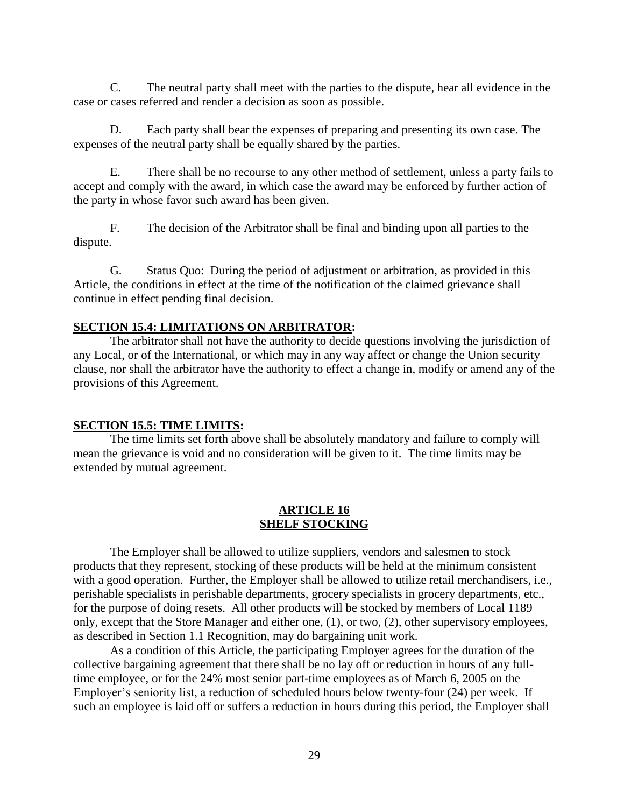C. The neutral party shall meet with the parties to the dispute, hear all evidence in the case or cases referred and render a decision as soon as possible.

D. Each party shall bear the expenses of preparing and presenting its own case. The expenses of the neutral party shall be equally shared by the parties.

E. There shall be no recourse to any other method of settlement, unless a party fails to accept and comply with the award, in which case the award may be enforced by further action of the party in whose favor such award has been given.

F. The decision of the Arbitrator shall be final and binding upon all parties to the dispute.

G. Status Quo: During the period of adjustment or arbitration, as provided in this Article, the conditions in effect at the time of the notification of the claimed grievance shall continue in effect pending final decision.

#### **SECTION 15.4: LIMITATIONS ON ARBITRATOR:**

The arbitrator shall not have the authority to decide questions involving the jurisdiction of any Local, or of the International, or which may in any way affect or change the Union security clause, nor shall the arbitrator have the authority to effect a change in, modify or amend any of the provisions of this Agreement.

#### **SECTION 15.5: TIME LIMITS:**

The time limits set forth above shall be absolutely mandatory and failure to comply will mean the grievance is void and no consideration will be given to it. The time limits may be extended by mutual agreement.

#### **ARTICLE 16 SHELF STOCKING**

The Employer shall be allowed to utilize suppliers, vendors and salesmen to stock products that they represent, stocking of these products will be held at the minimum consistent with a good operation. Further, the Employer shall be allowed to utilize retail merchandisers, i.e., perishable specialists in perishable departments, grocery specialists in grocery departments, etc., for the purpose of doing resets. All other products will be stocked by members of Local 1189 only, except that the Store Manager and either one, (1), or two, (2), other supervisory employees, as described in Section 1.1 Recognition, may do bargaining unit work.

As a condition of this Article, the participating Employer agrees for the duration of the collective bargaining agreement that there shall be no lay off or reduction in hours of any fulltime employee, or for the 24% most senior part-time employees as of March 6, 2005 on the Employer's seniority list, a reduction of scheduled hours below twenty-four (24) per week. If such an employee is laid off or suffers a reduction in hours during this period, the Employer shall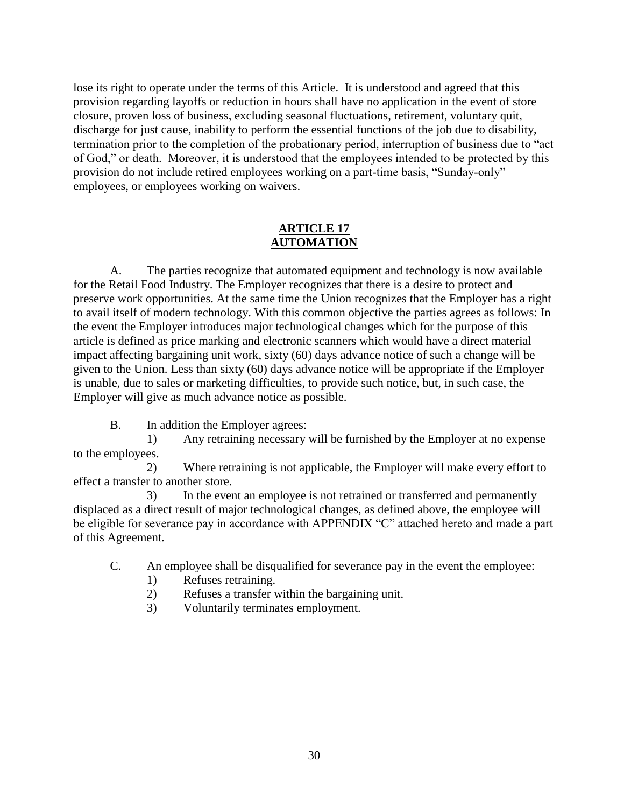lose its right to operate under the terms of this Article. It is understood and agreed that this provision regarding layoffs or reduction in hours shall have no application in the event of store closure, proven loss of business, excluding seasonal fluctuations, retirement, voluntary quit, discharge for just cause, inability to perform the essential functions of the job due to disability, termination prior to the completion of the probationary period, interruption of business due to "act of God," or death. Moreover, it is understood that the employees intended to be protected by this provision do not include retired employees working on a part-time basis, "Sunday-only" employees, or employees working on waivers.

## **ARTICLE 17 AUTOMATION**

A. The parties recognize that automated equipment and technology is now available for the Retail Food Industry. The Employer recognizes that there is a desire to protect and preserve work opportunities. At the same time the Union recognizes that the Employer has a right to avail itself of modern technology. With this common objective the parties agrees as follows: In the event the Employer introduces major technological changes which for the purpose of this article is defined as price marking and electronic scanners which would have a direct material impact affecting bargaining unit work, sixty (60) days advance notice of such a change will be given to the Union. Less than sixty (60) days advance notice will be appropriate if the Employer is unable, due to sales or marketing difficulties, to provide such notice, but, in such case, the Employer will give as much advance notice as possible.

B. In addition the Employer agrees:

1) Any retraining necessary will be furnished by the Employer at no expense to the employees.

2) Where retraining is not applicable, the Employer will make every effort to effect a transfer to another store.

3) In the event an employee is not retrained or transferred and permanently displaced as a direct result of major technological changes, as defined above, the employee will be eligible for severance pay in accordance with APPENDIX "C" attached hereto and made a part of this Agreement.

C. An employee shall be disqualified for severance pay in the event the employee:

- 1) Refuses retraining.
- 2) Refuses a transfer within the bargaining unit.
- 3) Voluntarily terminates employment.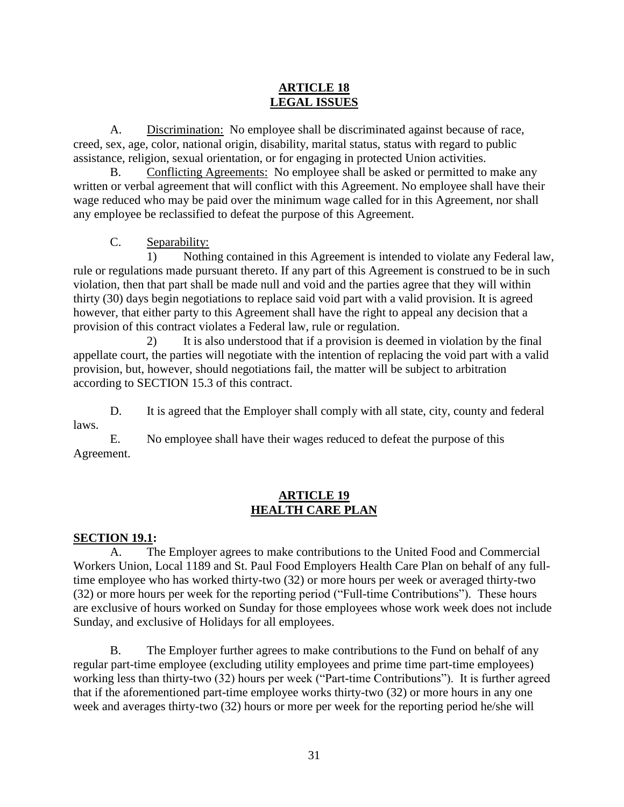## **ARTICLE 18 LEGAL ISSUES**

A. Discrimination: No employee shall be discriminated against because of race, creed, sex, age, color, national origin, disability, marital status, status with regard to public assistance, religion, sexual orientation, or for engaging in protected Union activities.

B. Conflicting Agreements: No employee shall be asked or permitted to make any written or verbal agreement that will conflict with this Agreement. No employee shall have their wage reduced who may be paid over the minimum wage called for in this Agreement, nor shall any employee be reclassified to defeat the purpose of this Agreement.

C. Separability:

1) Nothing contained in this Agreement is intended to violate any Federal law, rule or regulations made pursuant thereto. If any part of this Agreement is construed to be in such violation, then that part shall be made null and void and the parties agree that they will within thirty (30) days begin negotiations to replace said void part with a valid provision. It is agreed however, that either party to this Agreement shall have the right to appeal any decision that a provision of this contract violates a Federal law, rule or regulation.

2) It is also understood that if a provision is deemed in violation by the final appellate court, the parties will negotiate with the intention of replacing the void part with a valid provision, but, however, should negotiations fail, the matter will be subject to arbitration according to SECTION 15.3 of this contract.

D. It is agreed that the Employer shall comply with all state, city, county and federal laws.

E. No employee shall have their wages reduced to defeat the purpose of this Agreement.

## **ARTICLE 19 HEALTH CARE PLAN**

## **SECTION 19.1:**

A. The Employer agrees to make contributions to the United Food and Commercial Workers Union, Local 1189 and St. Paul Food Employers Health Care Plan on behalf of any fulltime employee who has worked thirty-two (32) or more hours per week or averaged thirty-two (32) or more hours per week for the reporting period ("Full-time Contributions"). These hours are exclusive of hours worked on Sunday for those employees whose work week does not include Sunday, and exclusive of Holidays for all employees.

B. The Employer further agrees to make contributions to the Fund on behalf of any regular part-time employee (excluding utility employees and prime time part-time employees) working less than thirty-two (32) hours per week ("Part-time Contributions"). It is further agreed that if the aforementioned part-time employee works thirty-two (32) or more hours in any one week and averages thirty-two (32) hours or more per week for the reporting period he/she will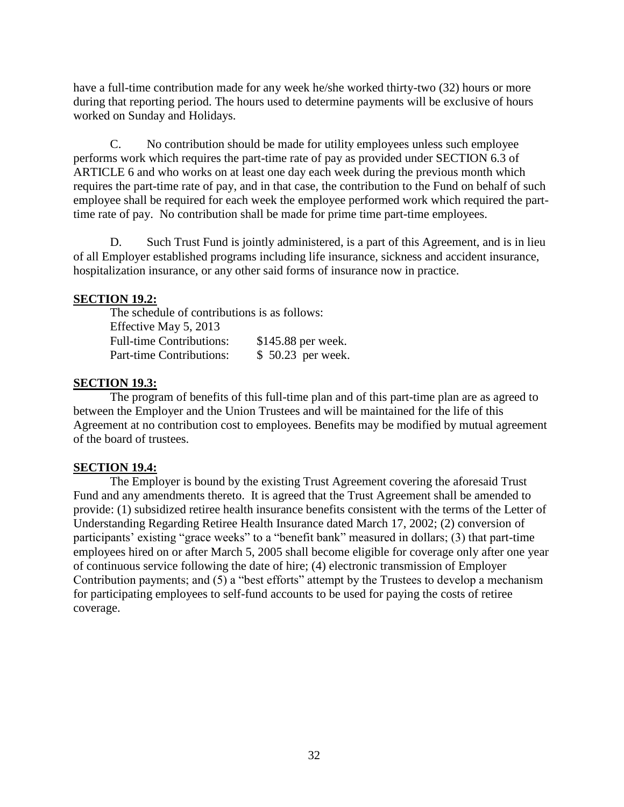have a full-time contribution made for any week he/she worked thirty-two (32) hours or more during that reporting period. The hours used to determine payments will be exclusive of hours worked on Sunday and Holidays.

C. No contribution should be made for utility employees unless such employee performs work which requires the part-time rate of pay as provided under SECTION 6.3 of ARTICLE 6 and who works on at least one day each week during the previous month which requires the part-time rate of pay, and in that case, the contribution to the Fund on behalf of such employee shall be required for each week the employee performed work which required the parttime rate of pay. No contribution shall be made for prime time part-time employees.

D. Such Trust Fund is jointly administered, is a part of this Agreement, and is in lieu of all Employer established programs including life insurance, sickness and accident insurance, hospitalization insurance, or any other said forms of insurance now in practice.

#### **SECTION 19.2:**

The schedule of contributions is as follows: Effective May 5, 2013 Full-time Contributions: \$145.88 per week. Part-time Contributions: \$50.23 per week.

#### **SECTION 19.3:**

The program of benefits of this full-time plan and of this part-time plan are as agreed to between the Employer and the Union Trustees and will be maintained for the life of this Agreement at no contribution cost to employees. Benefits may be modified by mutual agreement of the board of trustees.

### **SECTION 19.4:**

The Employer is bound by the existing Trust Agreement covering the aforesaid Trust Fund and any amendments thereto. It is agreed that the Trust Agreement shall be amended to provide: (1) subsidized retiree health insurance benefits consistent with the terms of the Letter of Understanding Regarding Retiree Health Insurance dated March 17, 2002; (2) conversion of participants' existing "grace weeks" to a "benefit bank" measured in dollars; (3) that part-time employees hired on or after March 5, 2005 shall become eligible for coverage only after one year of continuous service following the date of hire; (4) electronic transmission of Employer Contribution payments; and (5) a "best efforts" attempt by the Trustees to develop a mechanism for participating employees to self-fund accounts to be used for paying the costs of retiree coverage.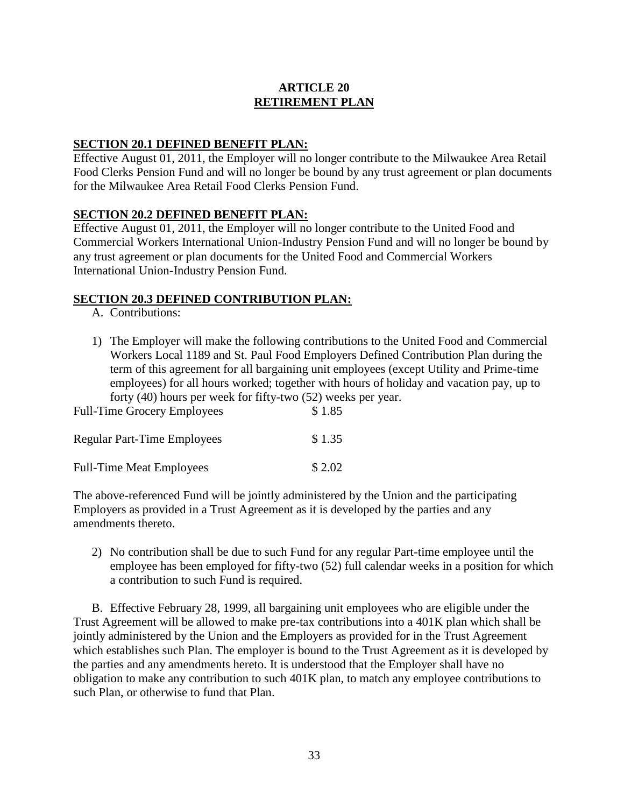## **ARTICLE 20 RETIREMENT PLAN**

#### **SECTION 20.1 DEFINED BENEFIT PLAN:**

Effective August 01, 2011, the Employer will no longer contribute to the Milwaukee Area Retail Food Clerks Pension Fund and will no longer be bound by any trust agreement or plan documents for the Milwaukee Area Retail Food Clerks Pension Fund.

### **SECTION 20.2 DEFINED BENEFIT PLAN:**

Effective August 01, 2011, the Employer will no longer contribute to the United Food and Commercial Workers International Union-Industry Pension Fund and will no longer be bound by any trust agreement or plan documents for the United Food and Commercial Workers International Union-Industry Pension Fund.

#### **SECTION 20.3 DEFINED CONTRIBUTION PLAN:**

- A. Contributions:
- 1) The Employer will make the following contributions to the United Food and Commercial Workers Local 1189 and St. Paul Food Employers Defined Contribution Plan during the term of this agreement for all bargaining unit employees (except Utility and Prime-time employees) for all hours worked; together with hours of holiday and vacation pay, up to forty (40) hours per week for fifty-two (52) weeks per year.

| <b>Full-Time Grocery Employees</b> | \$1.85  |
|------------------------------------|---------|
| <b>Regular Part-Time Employees</b> | \$1.35  |
| <b>Full-Time Meat Employees</b>    | \$ 2.02 |

The above-referenced Fund will be jointly administered by the Union and the participating Employers as provided in a Trust Agreement as it is developed by the parties and any amendments thereto.

2) No contribution shall be due to such Fund for any regular Part-time employee until the employee has been employed for fifty-two (52) full calendar weeks in a position for which a contribution to such Fund is required.

B. Effective February 28, 1999, all bargaining unit employees who are eligible under the Trust Agreement will be allowed to make pre-tax contributions into a 401K plan which shall be jointly administered by the Union and the Employers as provided for in the Trust Agreement which establishes such Plan. The employer is bound to the Trust Agreement as it is developed by the parties and any amendments hereto. It is understood that the Employer shall have no obligation to make any contribution to such 401K plan, to match any employee contributions to such Plan, or otherwise to fund that Plan.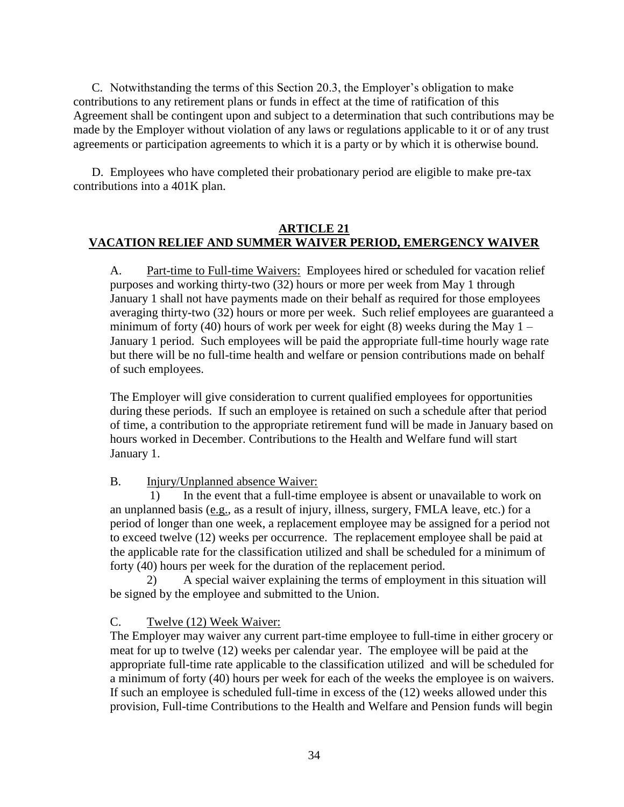C. Notwithstanding the terms of this Section 20.3, the Employer's obligation to make contributions to any retirement plans or funds in effect at the time of ratification of this Agreement shall be contingent upon and subject to a determination that such contributions may be made by the Employer without violation of any laws or regulations applicable to it or of any trust agreements or participation agreements to which it is a party or by which it is otherwise bound.

D. Employees who have completed their probationary period are eligible to make pre-tax contributions into a 401K plan.

#### **ARTICLE 21 VACATION RELIEF AND SUMMER WAIVER PERIOD, EMERGENCY WAIVER**

A. Part-time to Full-time Waivers: Employees hired or scheduled for vacation relief purposes and working thirty-two (32) hours or more per week from May 1 through January 1 shall not have payments made on their behalf as required for those employees averaging thirty-two (32) hours or more per week. Such relief employees are guaranteed a minimum of forty (40) hours of work per week for eight (8) weeks during the May  $1 -$ January 1 period. Such employees will be paid the appropriate full-time hourly wage rate but there will be no full-time health and welfare or pension contributions made on behalf of such employees.

The Employer will give consideration to current qualified employees for opportunities during these periods. If such an employee is retained on such a schedule after that period of time, a contribution to the appropriate retirement fund will be made in January based on hours worked in December. Contributions to the Health and Welfare fund will start January 1.

### B. Injury/Unplanned absence Waiver:

1) In the event that a full-time employee is absent or unavailable to work on an unplanned basis (e.g., as a result of injury, illness, surgery, FMLA leave, etc.) for a period of longer than one week, a replacement employee may be assigned for a period not to exceed twelve (12) weeks per occurrence. The replacement employee shall be paid at the applicable rate for the classification utilized and shall be scheduled for a minimum of forty (40) hours per week for the duration of the replacement period.

2) A special waiver explaining the terms of employment in this situation will be signed by the employee and submitted to the Union.

### C. Twelve (12) Week Waiver:

The Employer may waiver any current part-time employee to full-time in either grocery or meat for up to twelve (12) weeks per calendar year. The employee will be paid at the appropriate full-time rate applicable to the classification utilized and will be scheduled for a minimum of forty (40) hours per week for each of the weeks the employee is on waivers. If such an employee is scheduled full-time in excess of the (12) weeks allowed under this provision, Full-time Contributions to the Health and Welfare and Pension funds will begin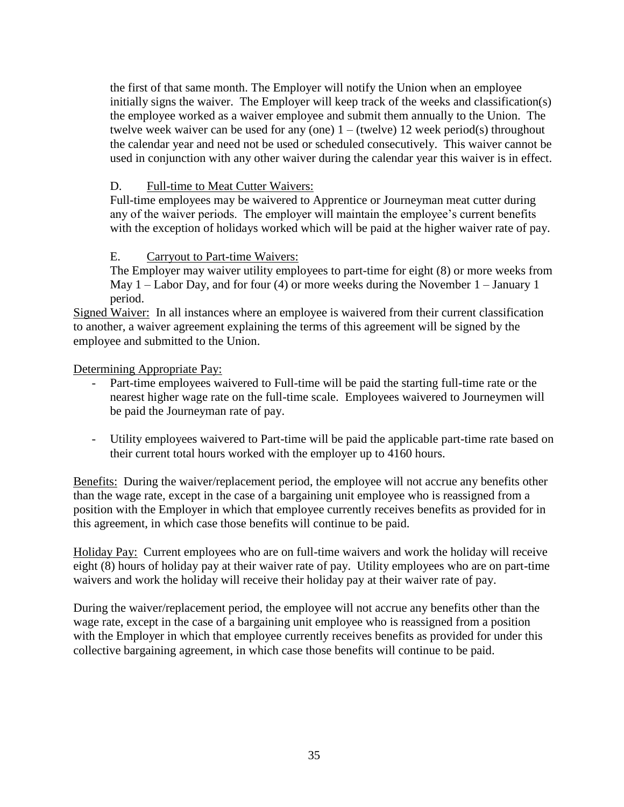the first of that same month. The Employer will notify the Union when an employee initially signs the waiver. The Employer will keep track of the weeks and classification(s) the employee worked as a waiver employee and submit them annually to the Union. The twelve week waiver can be used for any (one)  $1 -$  (twelve) 12 week period(s) throughout the calendar year and need not be used or scheduled consecutively. This waiver cannot be used in conjunction with any other waiver during the calendar year this waiver is in effect.

### D. Full-time to Meat Cutter Waivers:

Full-time employees may be waivered to Apprentice or Journeyman meat cutter during any of the waiver periods. The employer will maintain the employee's current benefits with the exception of holidays worked which will be paid at the higher waiver rate of pay.

### E. Carryout to Part-time Waivers:

The Employer may waiver utility employees to part-time for eight (8) or more weeks from May 1 – Labor Day, and for four (4) or more weeks during the November 1 – January 1 period.

Signed Waiver: In all instances where an employee is waivered from their current classification to another, a waiver agreement explaining the terms of this agreement will be signed by the employee and submitted to the Union.

Determining Appropriate Pay:

- Part-time employees waivered to Full-time will be paid the starting full-time rate or the nearest higher wage rate on the full-time scale. Employees waivered to Journeymen will be paid the Journeyman rate of pay.
- Utility employees waivered to Part-time will be paid the applicable part-time rate based on their current total hours worked with the employer up to 4160 hours.

Benefits: During the waiver/replacement period, the employee will not accrue any benefits other than the wage rate, except in the case of a bargaining unit employee who is reassigned from a position with the Employer in which that employee currently receives benefits as provided for in this agreement, in which case those benefits will continue to be paid.

Holiday Pay: Current employees who are on full-time waivers and work the holiday will receive eight (8) hours of holiday pay at their waiver rate of pay. Utility employees who are on part-time waivers and work the holiday will receive their holiday pay at their waiver rate of pay.

During the waiver/replacement period, the employee will not accrue any benefits other than the wage rate, except in the case of a bargaining unit employee who is reassigned from a position with the Employer in which that employee currently receives benefits as provided for under this collective bargaining agreement, in which case those benefits will continue to be paid.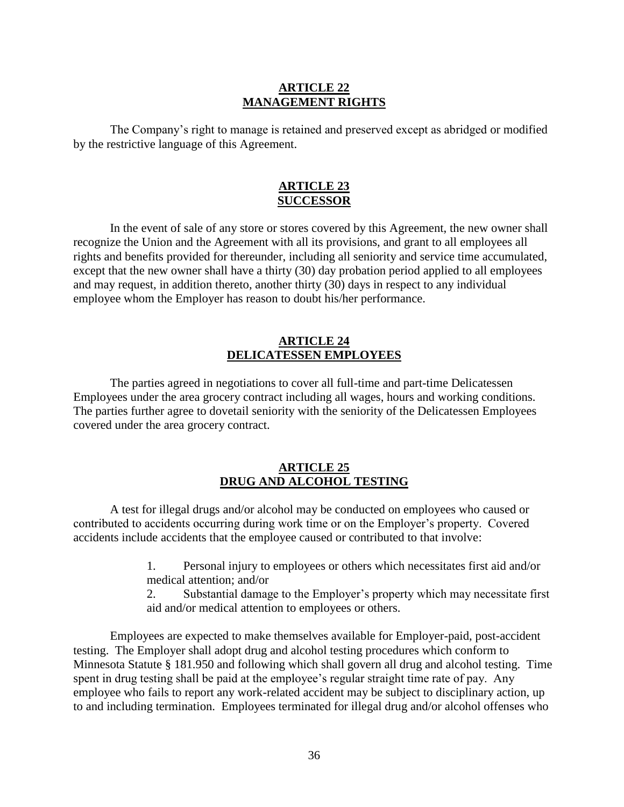#### **ARTICLE 22 MANAGEMENT RIGHTS**

The Company's right to manage is retained and preserved except as abridged or modified by the restrictive language of this Agreement.

#### **ARTICLE 23 SUCCESSOR**

In the event of sale of any store or stores covered by this Agreement, the new owner shall recognize the Union and the Agreement with all its provisions, and grant to all employees all rights and benefits provided for thereunder, including all seniority and service time accumulated, except that the new owner shall have a thirty (30) day probation period applied to all employees and may request, in addition thereto, another thirty (30) days in respect to any individual employee whom the Employer has reason to doubt his/her performance.

#### **ARTICLE 24 DELICATESSEN EMPLOYEES**

The parties agreed in negotiations to cover all full-time and part-time Delicatessen Employees under the area grocery contract including all wages, hours and working conditions. The parties further agree to dovetail seniority with the seniority of the Delicatessen Employees covered under the area grocery contract.

#### **ARTICLE 25 DRUG AND ALCOHOL TESTING**

A test for illegal drugs and/or alcohol may be conducted on employees who caused or contributed to accidents occurring during work time or on the Employer's property. Covered accidents include accidents that the employee caused or contributed to that involve:

- 1. Personal injury to employees or others which necessitates first aid and/or medical attention; and/or
- 2. Substantial damage to the Employer's property which may necessitate first aid and/or medical attention to employees or others.

Employees are expected to make themselves available for Employer-paid, post-accident testing. The Employer shall adopt drug and alcohol testing procedures which conform to Minnesota Statute § 181.950 and following which shall govern all drug and alcohol testing. Time spent in drug testing shall be paid at the employee's regular straight time rate of pay. Any employee who fails to report any work-related accident may be subject to disciplinary action, up to and including termination. Employees terminated for illegal drug and/or alcohol offenses who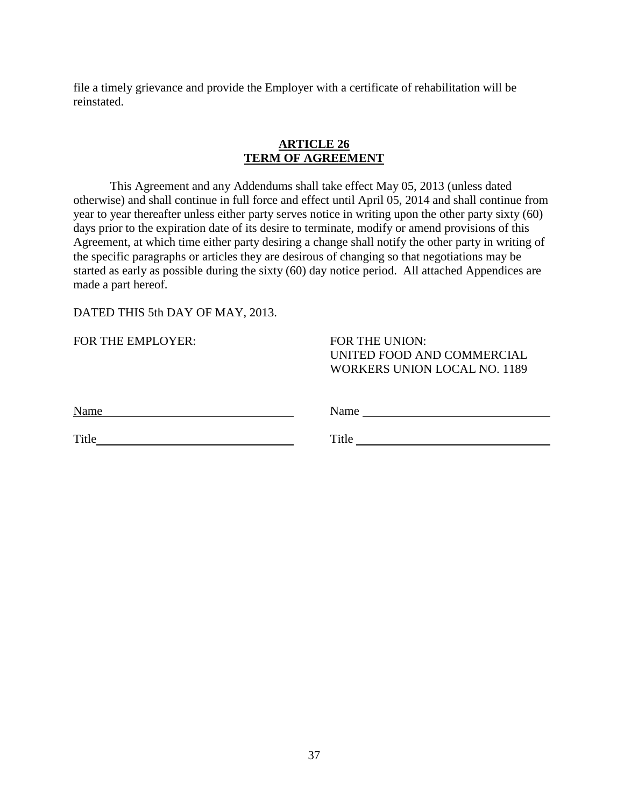file a timely grievance and provide the Employer with a certificate of rehabilitation will be reinstated.

#### **ARTICLE 26 TERM OF AGREEMENT**

This Agreement and any Addendums shall take effect May 05, 2013 (unless dated otherwise) and shall continue in full force and effect until April 05, 2014 and shall continue from year to year thereafter unless either party serves notice in writing upon the other party sixty (60) days prior to the expiration date of its desire to terminate, modify or amend provisions of this Agreement, at which time either party desiring a change shall notify the other party in writing of the specific paragraphs or articles they are desirous of changing so that negotiations may be started as early as possible during the sixty (60) day notice period. All attached Appendices are made a part hereof.

DATED THIS 5th DAY OF MAY, 2013.

FOR THE EMPLOYER: FOR THE UNION:

UNITED FOOD AND COMMERCIAL WORKERS UNION LOCAL NO. 1189

| Name | $\cdots$<br>чашк |  |
|------|------------------|--|
|      |                  |  |

Title Title Title Title Title Title Title Title Title Title Title Title Title Title Title Title Title Title Title Title Title Title Title Title Title Title Title Title Title Title Title Title Title Title Title Title Title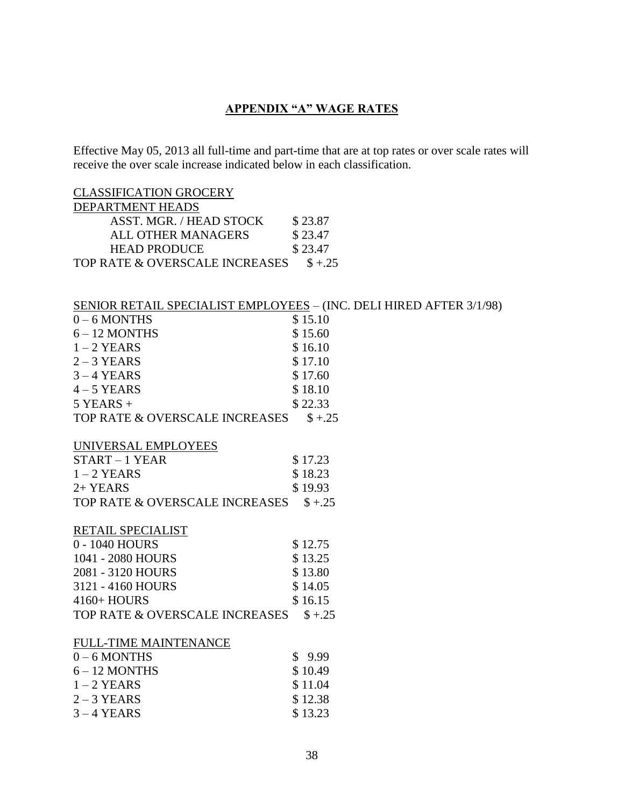## **APPENDIX "A" WAGE RATES**

Effective May 05, 2013 all full-time and part-time that are at top rates or over scale rates will receive the over scale increase indicated below in each classification.

CLASSIFICATION GROCERY DEPARTMENT HEADS ASST. MGR. / HEAD STOCK \$23.87 ALL OTHER MANAGERS \$23.47 HEAD PRODUCE \$23.47 TOP RATE & OVERSCALE INCREASES  $$+.25$ 

#### SENIOR RETAIL SPECIALIST EMPLOYEES – (INC. DELI HIRED AFTER 3/1/98)

| $0 - 6$ MONTHS                 | \$15.10            |
|--------------------------------|--------------------|
| $6 - 12$ MONTHS                | \$15.60            |
| $1 - 2$ YEARS                  | \$16.10            |
| $2 - 3$ YEARS                  | \$17.10            |
| $3 - 4$ YEARS                  | \$17.60            |
| $4 - 5$ YEARS                  | \$18.10            |
| $5$ YEARS +                    | \$22.33            |
| TOP RATE & OVERSCALE INCREASES | $$+.25$            |
| UNIVERSAL EMPLOYEES            |                    |
| START-1 YEAR                   | \$17.23            |
| $1 - 2$ YEARS                  | \$18.23            |
| 2+ YEARS                       | \$19.93            |
| TOP RATE & OVERSCALE INCREASES | $$+.25$            |
|                                |                    |
| RETAIL SPECIALIST              |                    |
| 0 - 1040 HOURS                 | \$12.75            |
| 1041 - 2080 HOURS              | \$13.25            |
| 2081 - 3120 HOURS              | \$13.80            |
| 3121 - 4160 HOURS              | \$14.05            |
| 4160+ HOURS                    | \$16.15            |
| TOP RATE & OVERSCALE INCREASES | $$+.25$            |
| <b>FULL-TIME MAINTENANCE</b>   |                    |
| $0 - 6$ MONTHS                 | \$9.99             |
| $6 - 12$ MONTHS                | \$10.49            |
| $1 - 2$ YEARS                  | \$11.04            |
| $2 - 3$ YEARS<br>$3 - 4$ YEARS | \$12.38<br>\$13.23 |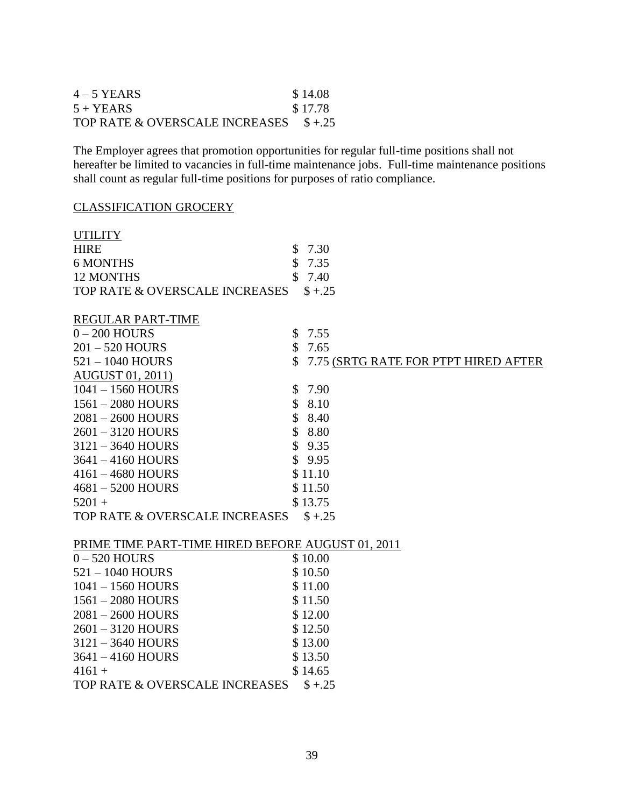| $4 - 5$ YEARS                          | \$14.08 |
|----------------------------------------|---------|
| $5 + YEARS$                            | \$17.78 |
| TOP RATE & OVERSCALE INCREASES \$ +.25 |         |

The Employer agrees that promotion opportunities for regular full-time positions shall not hereafter be limited to vacancies in full-time maintenance jobs. Full-time maintenance positions shall count as regular full-time positions for purposes of ratio compliance.

#### CLASSIFICATION GROCERY

| <b>UTILITY</b>                                    |               |                                      |
|---------------------------------------------------|---------------|--------------------------------------|
| <b>HIRE</b>                                       | \$            | 7.30                                 |
| <b>6 MONTHS</b>                                   | \$            | 7.35                                 |
| <b>12 MONTHS</b>                                  | \$            | 7.40                                 |
| TOP RATE & OVERSCALE INCREASES                    |               | $$+.25$                              |
|                                                   |               |                                      |
| REGULAR PART-TIME                                 |               |                                      |
| $0 - 200$ HOURS                                   | \$            | 7.55                                 |
| 201-520 HOURS                                     | $\mathcal{S}$ | 7.65                                 |
| $521 - 1040$ HOURS                                | \$            | 7.75 (SRTG RATE FOR PTPT HIRED AFTER |
| <b>AUGUST 01, 2011)</b>                           |               |                                      |
| $1041 - 1560$ HOURS                               | \$            | 7.90                                 |
| $1561 - 2080$ HOURS                               | \$            | 8.10                                 |
| 2081-2600 HOURS                                   | \$            | 8.40                                 |
| 2601-3120 HOURS                                   | \$            | 8.80                                 |
| $3121 - 3640$ HOURS                               | \$            | 9.35                                 |
| 3641-4160 HOURS                                   |               | \$9.95                               |
| $4161 - 4680$ HOURS                               |               | \$11.10                              |
| $4681 - 5200$ HOURS                               |               | \$11.50                              |
| $5201 +$                                          |               | \$13.75                              |
| TOP RATE & OVERSCALE INCREASES                    |               | $$+.25$                              |
|                                                   |               |                                      |
| PRIME TIME PART-TIME HIRED BEFORE AUGUST 01, 2011 |               |                                      |
| $0 - 520$ HOURS                                   |               | \$10.00                              |
| $521 - 1040$ HOURS                                |               | \$10.50                              |
| 1041-1560 HOURS                                   |               | \$11.00                              |
| $1561 - 2080$ HOURS                               |               | \$11.50                              |
| $2081 - 2600$ HOURS                               |               | \$12.00                              |
| $2601 - 3120$ HOURS                               |               | \$12.50                              |
| $3121 - 3640$ HOURS                               |               | \$13.00                              |
| $3641 - 4160$ HOURS                               |               | \$13.50                              |
| $4161 +$                                          |               | \$14.65                              |
| TOP RATE & OVERSCALE INCREASES                    |               | $$+.25$                              |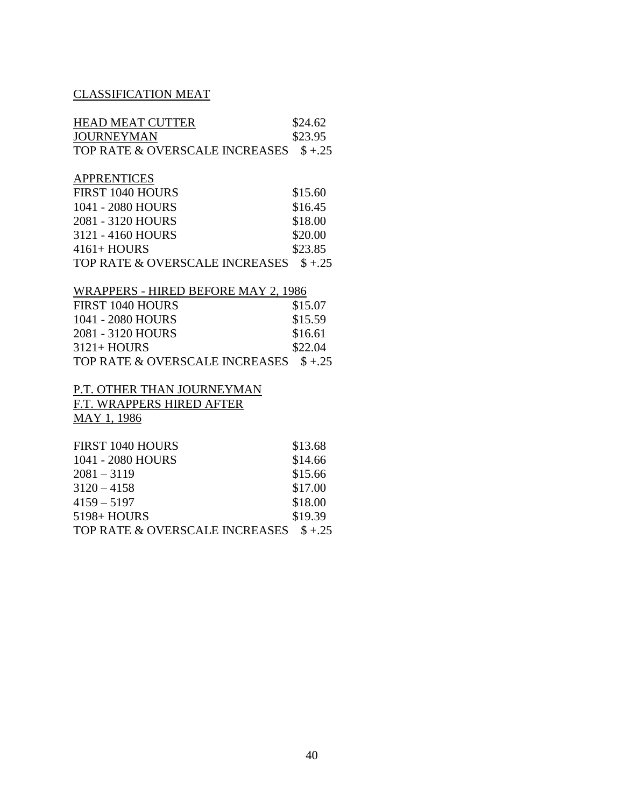# CLASSIFICATION MEAT

| <b>HEAD MEAT CUTTER</b>        | \$24.62 |
|--------------------------------|---------|
| <b>JOURNEYMAN</b>              | \$23.95 |
| TOP RATE & OVERSCALE INCREASES | $$+.25$ |
|                                |         |
| <b>APPRENTICES</b>             |         |
| FIRST 1040 HOURS               | \$15.60 |
| 1041 - 2080 HOURS              | \$16.45 |
| 2081 - 3120 HOURS              | \$18.00 |
| 3121 - 4160 HOURS              | \$20.00 |
| $4161 + HOURS$                 | \$23.85 |
| TOP RATE & OVERSCALE INCREASES | $$+25$  |
|                                |         |

## WRAPPERS - HIRED BEFORE MAY 2, 1986

| FIRST 1040 HOURS                       | \$15.07 |
|----------------------------------------|---------|
| 1041 - 2080 HOURS                      | \$15.59 |
| 2081 - 3120 HOURS                      | \$16.61 |
| $3121 + HOURS$                         | \$22.04 |
| TOP RATE & OVERSCALE INCREASES \$ +.25 |         |

#### P.T. OTHER THAN JOURNEYMAN F.T. WRAPPERS HIRED AFTER MAY 1, 1986

FIRST 1040 HOURS \$13.68 1041 - 2080 HOURS \$14.66  $2081 - 3119$  \$15.66  $3120 - 4158$  \$17.00  $4159 - 5197$  \$18.00 5198+ HOURS \$19.39 TOP RATE & OVERSCALE INCREASES  $$+.25$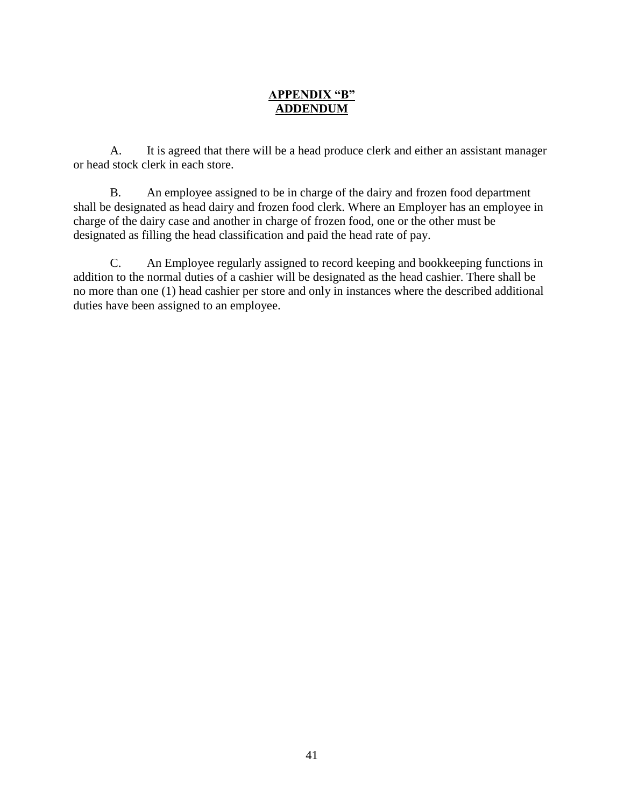## **APPENDIX "B" ADDENDUM**

A. It is agreed that there will be a head produce clerk and either an assistant manager or head stock clerk in each store.

B. An employee assigned to be in charge of the dairy and frozen food department shall be designated as head dairy and frozen food clerk. Where an Employer has an employee in charge of the dairy case and another in charge of frozen food, one or the other must be designated as filling the head classification and paid the head rate of pay.

C. An Employee regularly assigned to record keeping and bookkeeping functions in addition to the normal duties of a cashier will be designated as the head cashier. There shall be no more than one (1) head cashier per store and only in instances where the described additional duties have been assigned to an employee.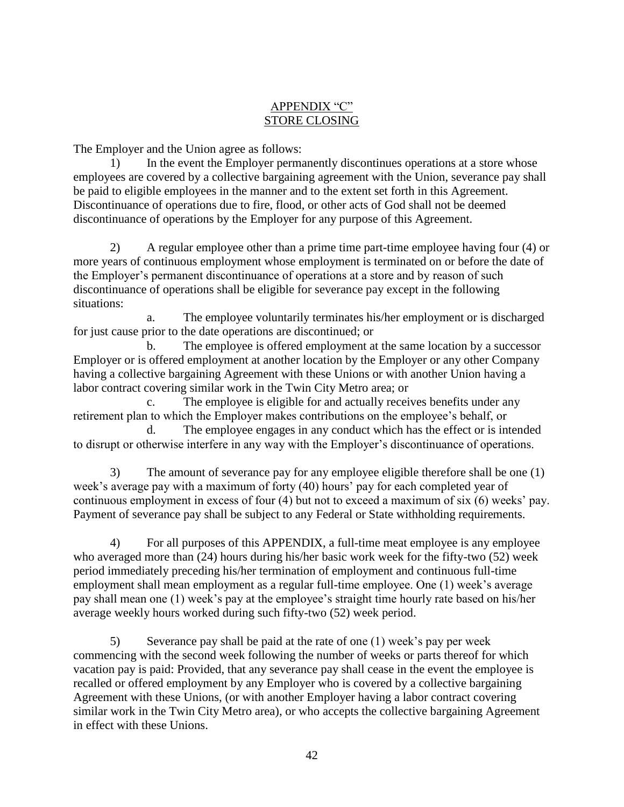## APPENDIX "C" STORE CLOSING

The Employer and the Union agree as follows:

1) In the event the Employer permanently discontinues operations at a store whose employees are covered by a collective bargaining agreement with the Union, severance pay shall be paid to eligible employees in the manner and to the extent set forth in this Agreement. Discontinuance of operations due to fire, flood, or other acts of God shall not be deemed discontinuance of operations by the Employer for any purpose of this Agreement.

2) A regular employee other than a prime time part-time employee having four (4) or more years of continuous employment whose employment is terminated on or before the date of the Employer's permanent discontinuance of operations at a store and by reason of such discontinuance of operations shall be eligible for severance pay except in the following situations:

a. The employee voluntarily terminates his/her employment or is discharged for just cause prior to the date operations are discontinued; or

b. The employee is offered employment at the same location by a successor Employer or is offered employment at another location by the Employer or any other Company having a collective bargaining Agreement with these Unions or with another Union having a labor contract covering similar work in the Twin City Metro area; or

c. The employee is eligible for and actually receives benefits under any retirement plan to which the Employer makes contributions on the employee's behalf, or

d. The employee engages in any conduct which has the effect or is intended to disrupt or otherwise interfere in any way with the Employer's discontinuance of operations.

3) The amount of severance pay for any employee eligible therefore shall be one (1) week's average pay with a maximum of forty (40) hours' pay for each completed year of continuous employment in excess of four (4) but not to exceed a maximum of six (6) weeks' pay. Payment of severance pay shall be subject to any Federal or State withholding requirements.

4) For all purposes of this APPENDIX, a full-time meat employee is any employee who averaged more than (24) hours during his/her basic work week for the fifty-two (52) week period immediately preceding his/her termination of employment and continuous full-time employment shall mean employment as a regular full-time employee. One (1) week's average pay shall mean one (1) week's pay at the employee's straight time hourly rate based on his/her average weekly hours worked during such fifty-two (52) week period.

5) Severance pay shall be paid at the rate of one (1) week's pay per week commencing with the second week following the number of weeks or parts thereof for which vacation pay is paid: Provided, that any severance pay shall cease in the event the employee is recalled or offered employment by any Employer who is covered by a collective bargaining Agreement with these Unions, (or with another Employer having a labor contract covering similar work in the Twin City Metro area), or who accepts the collective bargaining Agreement in effect with these Unions.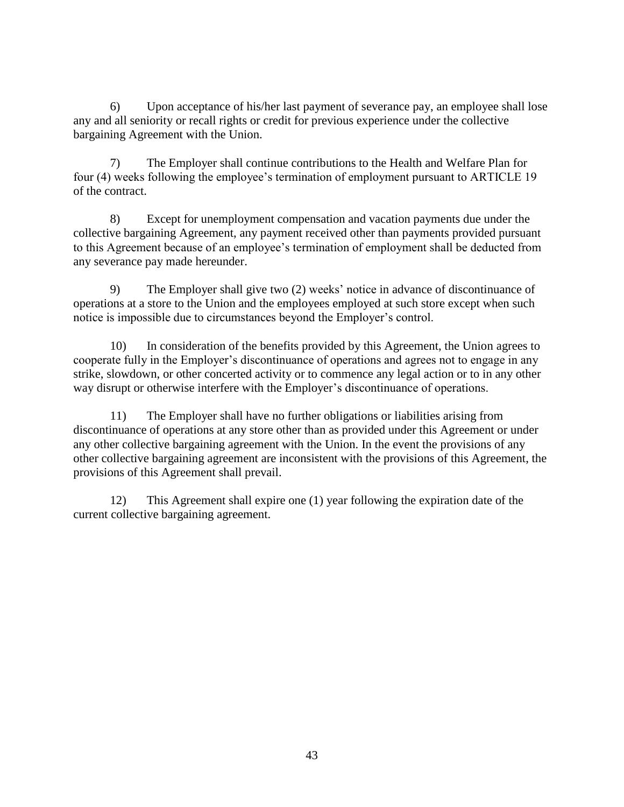6) Upon acceptance of his/her last payment of severance pay, an employee shall lose any and all seniority or recall rights or credit for previous experience under the collective bargaining Agreement with the Union.

7) The Employer shall continue contributions to the Health and Welfare Plan for four (4) weeks following the employee's termination of employment pursuant to ARTICLE 19 of the contract.

8) Except for unemployment compensation and vacation payments due under the collective bargaining Agreement, any payment received other than payments provided pursuant to this Agreement because of an employee's termination of employment shall be deducted from any severance pay made hereunder.

9) The Employer shall give two (2) weeks' notice in advance of discontinuance of operations at a store to the Union and the employees employed at such store except when such notice is impossible due to circumstances beyond the Employer's control.

10) In consideration of the benefits provided by this Agreement, the Union agrees to cooperate fully in the Employer's discontinuance of operations and agrees not to engage in any strike, slowdown, or other concerted activity or to commence any legal action or to in any other way disrupt or otherwise interfere with the Employer's discontinuance of operations.

11) The Employer shall have no further obligations or liabilities arising from discontinuance of operations at any store other than as provided under this Agreement or under any other collective bargaining agreement with the Union. In the event the provisions of any other collective bargaining agreement are inconsistent with the provisions of this Agreement, the provisions of this Agreement shall prevail.

12) This Agreement shall expire one (1) year following the expiration date of the current collective bargaining agreement.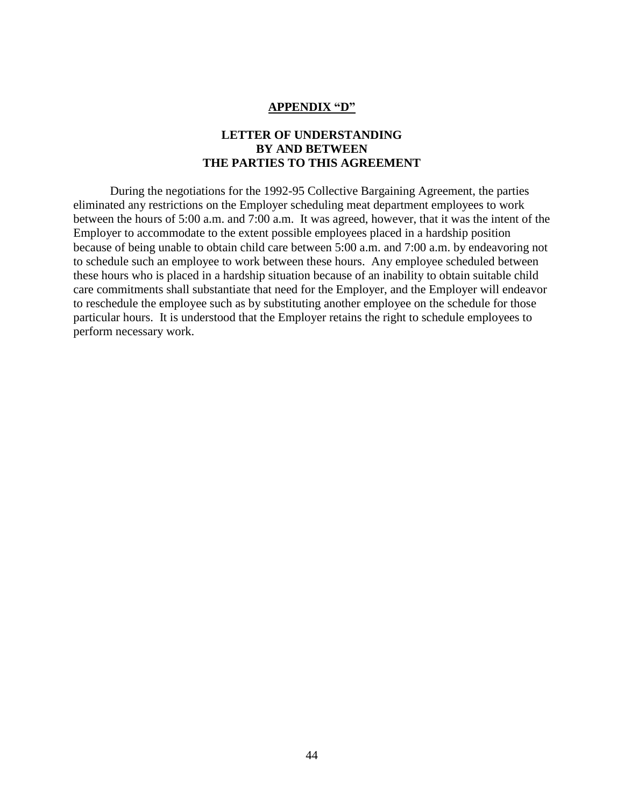#### **APPENDIX "D"**

#### **LETTER OF UNDERSTANDING BY AND BETWEEN THE PARTIES TO THIS AGREEMENT**

During the negotiations for the 1992-95 Collective Bargaining Agreement, the parties eliminated any restrictions on the Employer scheduling meat department employees to work between the hours of 5:00 a.m. and 7:00 a.m. It was agreed, however, that it was the intent of the Employer to accommodate to the extent possible employees placed in a hardship position because of being unable to obtain child care between 5:00 a.m. and 7:00 a.m. by endeavoring not to schedule such an employee to work between these hours. Any employee scheduled between these hours who is placed in a hardship situation because of an inability to obtain suitable child care commitments shall substantiate that need for the Employer, and the Employer will endeavor to reschedule the employee such as by substituting another employee on the schedule for those particular hours. It is understood that the Employer retains the right to schedule employees to perform necessary work.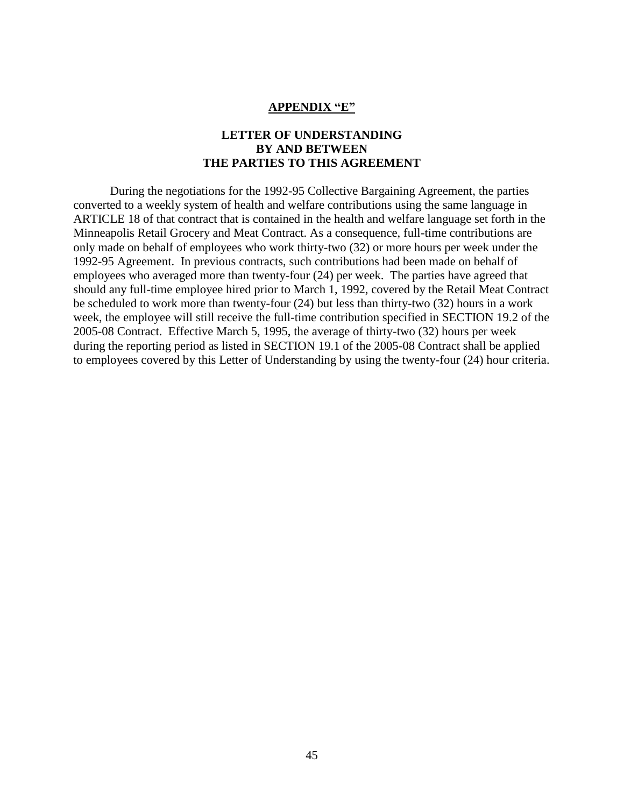#### **APPENDIX "E"**

#### **LETTER OF UNDERSTANDING BY AND BETWEEN THE PARTIES TO THIS AGREEMENT**

During the negotiations for the 1992-95 Collective Bargaining Agreement, the parties converted to a weekly system of health and welfare contributions using the same language in ARTICLE 18 of that contract that is contained in the health and welfare language set forth in the Minneapolis Retail Grocery and Meat Contract. As a consequence, full-time contributions are only made on behalf of employees who work thirty-two (32) or more hours per week under the 1992-95 Agreement. In previous contracts, such contributions had been made on behalf of employees who averaged more than twenty-four (24) per week. The parties have agreed that should any full-time employee hired prior to March 1, 1992, covered by the Retail Meat Contract be scheduled to work more than twenty-four (24) but less than thirty-two (32) hours in a work week, the employee will still receive the full-time contribution specified in SECTION 19.2 of the 2005-08 Contract. Effective March 5, 1995, the average of thirty-two (32) hours per week during the reporting period as listed in SECTION 19.1 of the 2005-08 Contract shall be applied to employees covered by this Letter of Understanding by using the twenty-four (24) hour criteria.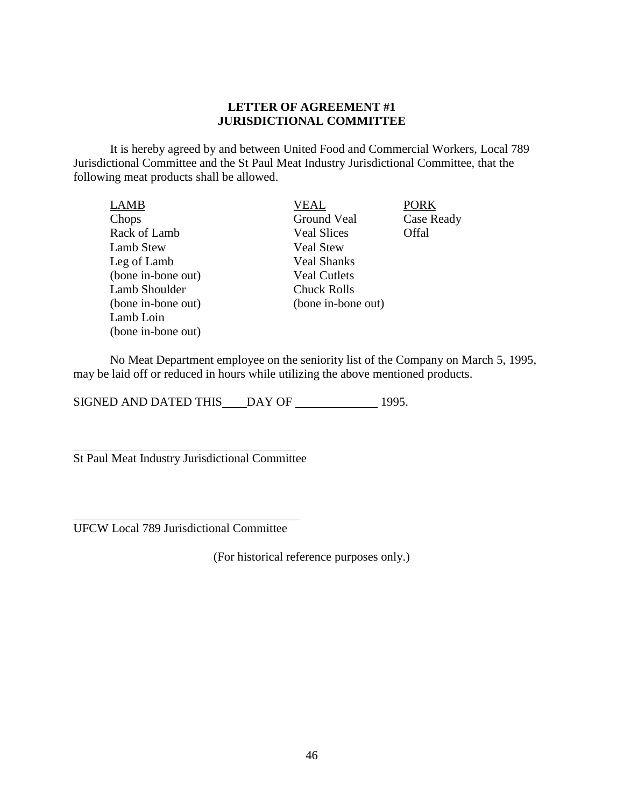#### **LETTER OF AGREEMENT #1 JURISDICTIONAL COMMITTEE**

It is hereby agreed by and between United Food and Commercial Workers, Local 789 Jurisdictional Committee and the St Paul Meat Industry Jurisdictional Committee, that the following meat products shall be allowed.

| VEAL                | <b>PORK</b> |
|---------------------|-------------|
| Ground Veal         | Case Ready  |
| <b>Veal Slices</b>  | Offal       |
| <b>Veal Stew</b>    |             |
| <b>Veal Shanks</b>  |             |
| <b>Veal Cutlets</b> |             |
| <b>Chuck Rolls</b>  |             |
| (bone in-bone out)  |             |
|                     |             |
|                     |             |
|                     |             |

No Meat Department employee on the seniority list of the Company on March 5, 1995, may be laid off or reduced in hours while utilizing the above mentioned products.

SIGNED AND DATED THIS DAY OF 1995.

 $\overline{a}$ St Paul Meat Industry Jurisdictional Committee

UFCW Local 789 Jurisdictional Committee

 $\overline{a}$ 

(For historical reference purposes only.)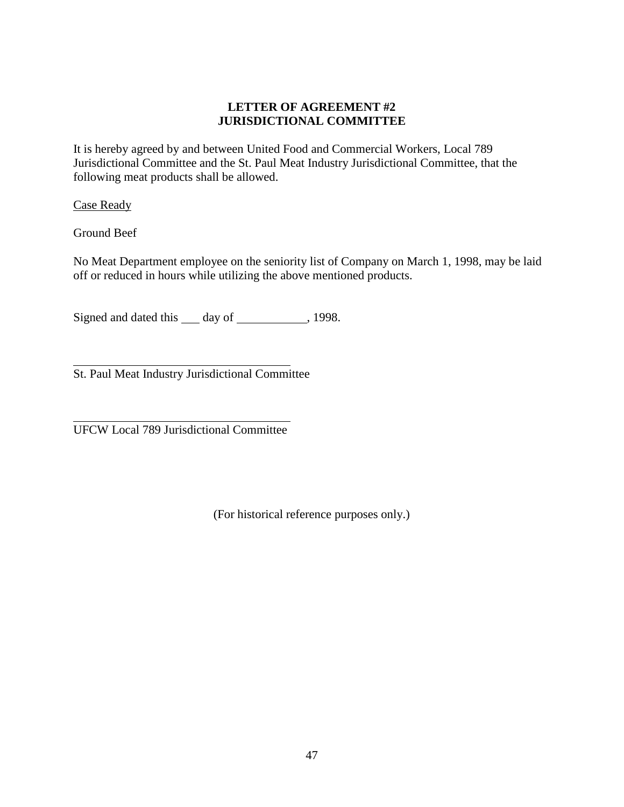### **LETTER OF AGREEMENT #2 JURISDICTIONAL COMMITTEE**

It is hereby agreed by and between United Food and Commercial Workers, Local 789 Jurisdictional Committee and the St. Paul Meat Industry Jurisdictional Committee, that the following meat products shall be allowed.

Case Ready

Ground Beef

No Meat Department employee on the seniority list of Company on March 1, 1998, may be laid off or reduced in hours while utilizing the above mentioned products.

Signed and dated this \_\_\_ day of \_\_\_\_\_\_\_\_\_\_\_, 1998.

 $\overline{a}$ St. Paul Meat Industry Jurisdictional Committee

l UFCW Local 789 Jurisdictional Committee

(For historical reference purposes only.)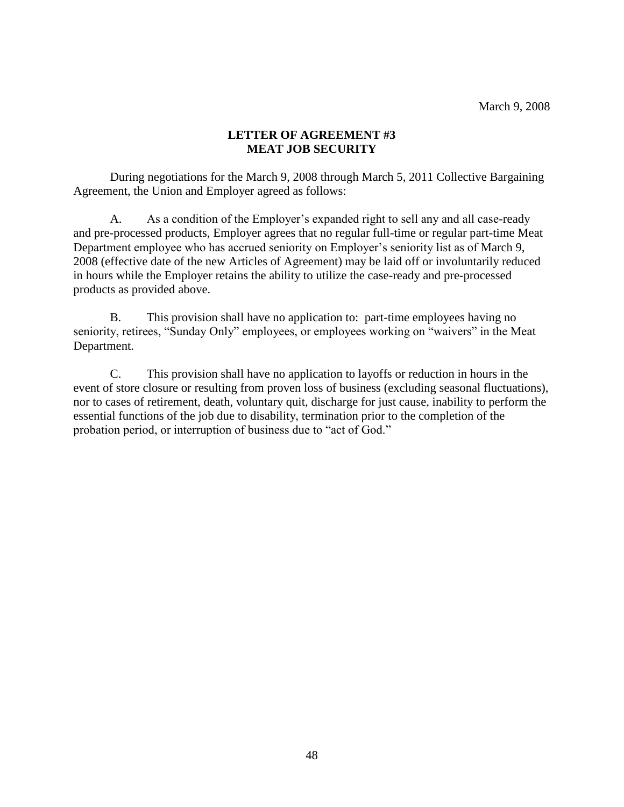#### **LETTER OF AGREEMENT #3 MEAT JOB SECURITY**

During negotiations for the March 9, 2008 through March 5, 2011 Collective Bargaining Agreement, the Union and Employer agreed as follows:

A. As a condition of the Employer's expanded right to sell any and all case-ready and pre-processed products, Employer agrees that no regular full-time or regular part-time Meat Department employee who has accrued seniority on Employer's seniority list as of March 9, 2008 (effective date of the new Articles of Agreement) may be laid off or involuntarily reduced in hours while the Employer retains the ability to utilize the case-ready and pre-processed products as provided above.

B. This provision shall have no application to: part-time employees having no seniority, retirees, "Sunday Only" employees, or employees working on "waivers" in the Meat Department.

C. This provision shall have no application to layoffs or reduction in hours in the event of store closure or resulting from proven loss of business (excluding seasonal fluctuations), nor to cases of retirement, death, voluntary quit, discharge for just cause, inability to perform the essential functions of the job due to disability, termination prior to the completion of the probation period, or interruption of business due to "act of God."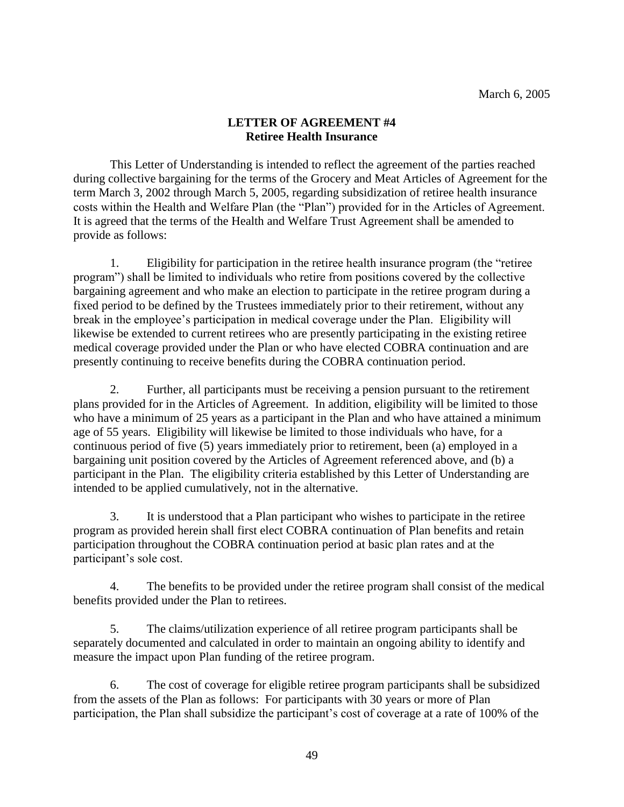### **LETTER OF AGREEMENT #4 Retiree Health Insurance**

This Letter of Understanding is intended to reflect the agreement of the parties reached during collective bargaining for the terms of the Grocery and Meat Articles of Agreement for the term March 3, 2002 through March 5, 2005, regarding subsidization of retiree health insurance costs within the Health and Welfare Plan (the "Plan") provided for in the Articles of Agreement. It is agreed that the terms of the Health and Welfare Trust Agreement shall be amended to provide as follows:

1. Eligibility for participation in the retiree health insurance program (the "retiree program") shall be limited to individuals who retire from positions covered by the collective bargaining agreement and who make an election to participate in the retiree program during a fixed period to be defined by the Trustees immediately prior to their retirement, without any break in the employee's participation in medical coverage under the Plan. Eligibility will likewise be extended to current retirees who are presently participating in the existing retiree medical coverage provided under the Plan or who have elected COBRA continuation and are presently continuing to receive benefits during the COBRA continuation period.

2. Further, all participants must be receiving a pension pursuant to the retirement plans provided for in the Articles of Agreement. In addition, eligibility will be limited to those who have a minimum of 25 years as a participant in the Plan and who have attained a minimum age of 55 years. Eligibility will likewise be limited to those individuals who have, for a continuous period of five (5) years immediately prior to retirement, been (a) employed in a bargaining unit position covered by the Articles of Agreement referenced above, and (b) a participant in the Plan. The eligibility criteria established by this Letter of Understanding are intended to be applied cumulatively, not in the alternative.

3. It is understood that a Plan participant who wishes to participate in the retiree program as provided herein shall first elect COBRA continuation of Plan benefits and retain participation throughout the COBRA continuation period at basic plan rates and at the participant's sole cost.

4. The benefits to be provided under the retiree program shall consist of the medical benefits provided under the Plan to retirees.

5. The claims/utilization experience of all retiree program participants shall be separately documented and calculated in order to maintain an ongoing ability to identify and measure the impact upon Plan funding of the retiree program.

6. The cost of coverage for eligible retiree program participants shall be subsidized from the assets of the Plan as follows: For participants with 30 years or more of Plan participation, the Plan shall subsidize the participant's cost of coverage at a rate of 100% of the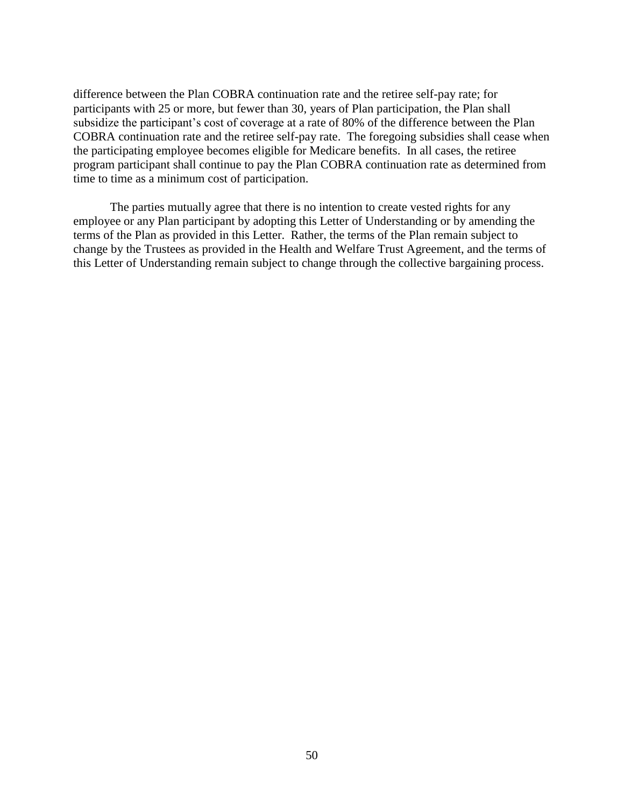difference between the Plan COBRA continuation rate and the retiree self-pay rate; for participants with 25 or more, but fewer than 30, years of Plan participation, the Plan shall subsidize the participant's cost of coverage at a rate of 80% of the difference between the Plan COBRA continuation rate and the retiree self-pay rate. The foregoing subsidies shall cease when the participating employee becomes eligible for Medicare benefits. In all cases, the retiree program participant shall continue to pay the Plan COBRA continuation rate as determined from time to time as a minimum cost of participation.

The parties mutually agree that there is no intention to create vested rights for any employee or any Plan participant by adopting this Letter of Understanding or by amending the terms of the Plan as provided in this Letter. Rather, the terms of the Plan remain subject to change by the Trustees as provided in the Health and Welfare Trust Agreement, and the terms of this Letter of Understanding remain subject to change through the collective bargaining process.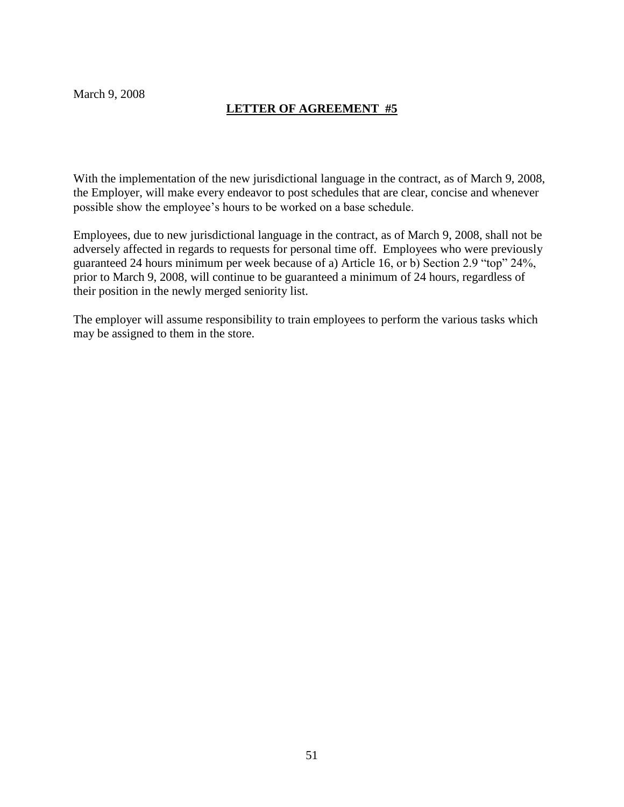March 9, 2008

## **LETTER OF AGREEMENT #5**

With the implementation of the new jurisdictional language in the contract, as of March 9, 2008, the Employer, will make every endeavor to post schedules that are clear, concise and whenever possible show the employee's hours to be worked on a base schedule.

Employees, due to new jurisdictional language in the contract, as of March 9, 2008, shall not be adversely affected in regards to requests for personal time off. Employees who were previously guaranteed 24 hours minimum per week because of a) Article 16, or b) Section 2.9 "top" 24%, prior to March 9, 2008, will continue to be guaranteed a minimum of 24 hours, regardless of their position in the newly merged seniority list.

The employer will assume responsibility to train employees to perform the various tasks which may be assigned to them in the store.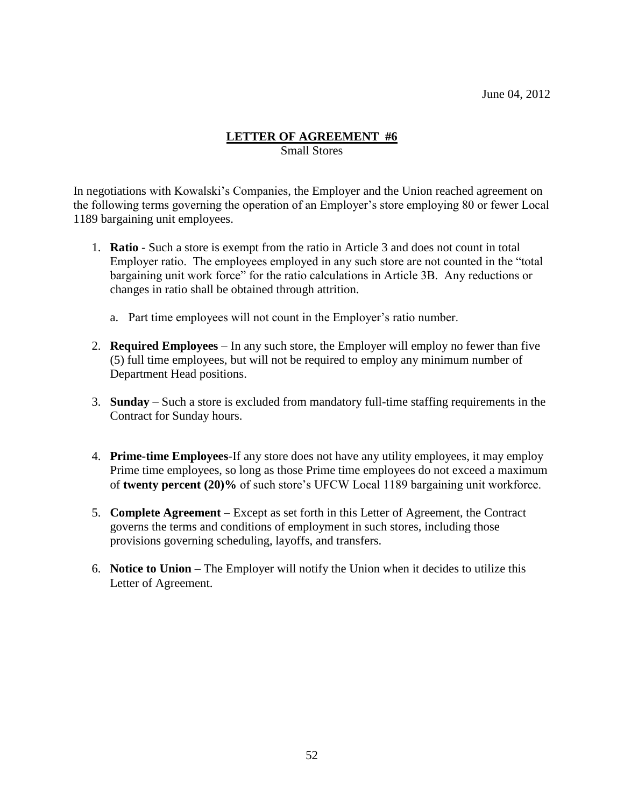#### **LETTER OF AGREEMENT #6** Small Stores

In negotiations with Kowalski's Companies, the Employer and the Union reached agreement on the following terms governing the operation of an Employer's store employing 80 or fewer Local 1189 bargaining unit employees.

- 1. **Ratio** Such a store is exempt from the ratio in Article 3 and does not count in total Employer ratio. The employees employed in any such store are not counted in the "total bargaining unit work force" for the ratio calculations in Article 3B. Any reductions or changes in ratio shall be obtained through attrition.
	- a. Part time employees will not count in the Employer's ratio number.
- 2. **Required Employees** In any such store, the Employer will employ no fewer than five (5) full time employees, but will not be required to employ any minimum number of Department Head positions.
- 3. **Sunday**  Such a store is excluded from mandatory full-time staffing requirements in the Contract for Sunday hours.
- 4. **Prime-time Employees**-If any store does not have any utility employees, it may employ Prime time employees, so long as those Prime time employees do not exceed a maximum of **twenty percent (20)%** of such store's UFCW Local 1189 bargaining unit workforce.
- 5. **Complete Agreement**  Except as set forth in this Letter of Agreement, the Contract governs the terms and conditions of employment in such stores, including those provisions governing scheduling, layoffs, and transfers.
- 6. **Notice to Union** The Employer will notify the Union when it decides to utilize this Letter of Agreement.